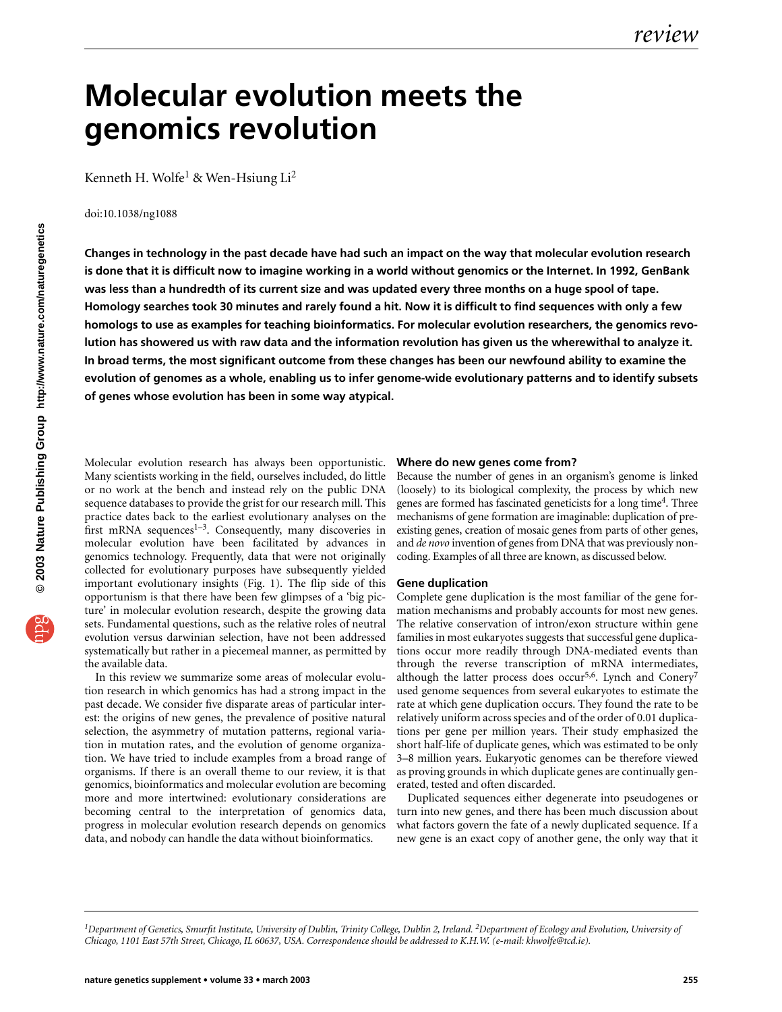# **Molecular evolution meets the genomics revolution**

Kenneth H. Wolfe<sup>1</sup> & Wen-Hsiung  $Li^2$ 

doi:10.1038/ng1088

**Changes in technology in the past decade have had such an impact on the way that molecular evolution research is done that it is difficult now to imagine working in a world without genomics or the Internet. In 1992, GenBank was less than a hundredth of its current size and was updated every three months on a huge spool of tape. Homology searches took 30 minutes and rarely found a hit. Now it is difficult to find sequences with only a few homologs to use as examples for teaching bioinformatics. For molecular evolution researchers, the genomics revolution has showered us with raw data and the information revolution has given us the wherewithal to analyze it. In broad terms, the most significant outcome from these changes has been our newfound ability to examine the evolution of genomes as a whole, enabling us to infer genome-wide evolutionary patterns and to identify subsets of genes whose evolution has been in some way atypical.**

Molecular evolution research has always been opportunistic. Many scientists working in the field, ourselves included, do little or no work at the bench and instead rely on the public DNA sequence databases to provide the grist for our research mill. This practice dates back to the earliest evolutionary analyses on the first mRNA sequences $1-3$ . Consequently, many discoveries in molecular evolution have been facilitated by advances in genomics technology. Frequently, data that were not originally collected for evolutionary purposes have subsequently yielded important evolutionary insights (Fig. 1). The flip side of this opportunism is that there have been few glimpses of a 'big picture' in molecular evolution research, despite the growing data sets. Fundamental questions, such as the relative roles of neutral evolution versus darwinian selection, have not been addressed systematically but rather in a piecemeal manner, as permitted by the available data.

In this review we summarize some areas of molecular evolution research in which genomics has had a strong impact in the past decade. We consider five disparate areas of particular interest: the origins of new genes, the prevalence of positive natural selection, the asymmetry of mutation patterns, regional variation in mutation rates, and the evolution of genome organization. We have tried to include examples from a broad range of organisms. If there is an overall theme to our review, it is that genomics, bioinformatics and molecular evolution are becoming more and more intertwined: evolutionary considerations are becoming central to the interpretation of genomics data, progress in molecular evolution research depends on genomics data, and nobody can handle the data without bioinformatics.

#### **Where do new genes come from?**

Because the number of genes in an organism's genome is linked (loosely) to its biological complexity, the process by which new genes are formed has fascinated geneticists for a long time4. Three mechanisms of gene formation are imaginable: duplication of preexisting genes, creation of mosaic genes from parts of other genes, and *de novo* invention of genes from DNA that was previously noncoding. Examples of all three are known, as discussed below.

# **Gene duplication**

Complete gene duplication is the most familiar of the gene formation mechanisms and probably accounts for most new genes. The relative conservation of intron/exon structure within gene families in most eukaryotes suggests that successful gene duplications occur more readily through DNA-mediated events than through the reverse transcription of mRNA intermediates, although the latter process does occur<sup>5,6</sup>. Lynch and Conery<sup>7</sup> used genome sequences from several eukaryotes to estimate the rate at which gene duplication occurs. They found the rate to be relatively uniform across species and of the order of 0.01 duplications per gene per million years. Their study emphasized the short half-life of duplicate genes, which was estimated to be only 3–8 million years. Eukaryotic genomes can be therefore viewed as proving grounds in which duplicate genes are continually generated, tested and often discarded.

Duplicated sequences either degenerate into pseudogenes or turn into new genes, and there has been much discussion about what factors govern the fate of a newly duplicated sequence. If a new gene is an exact copy of another gene, the only way that it

*<sup>1</sup>Department of Genetics, Smurfit Institute, University of Dublin, Trinity College, Dublin 2, Ireland. 2Department of Ecology and Evolution, University of Chicago, 1101 East 57th Street, Chicago, IL 60637, USA. Correspondence should be addressed to K.H.W. (e-mail: khwolfe@tcd.ie).*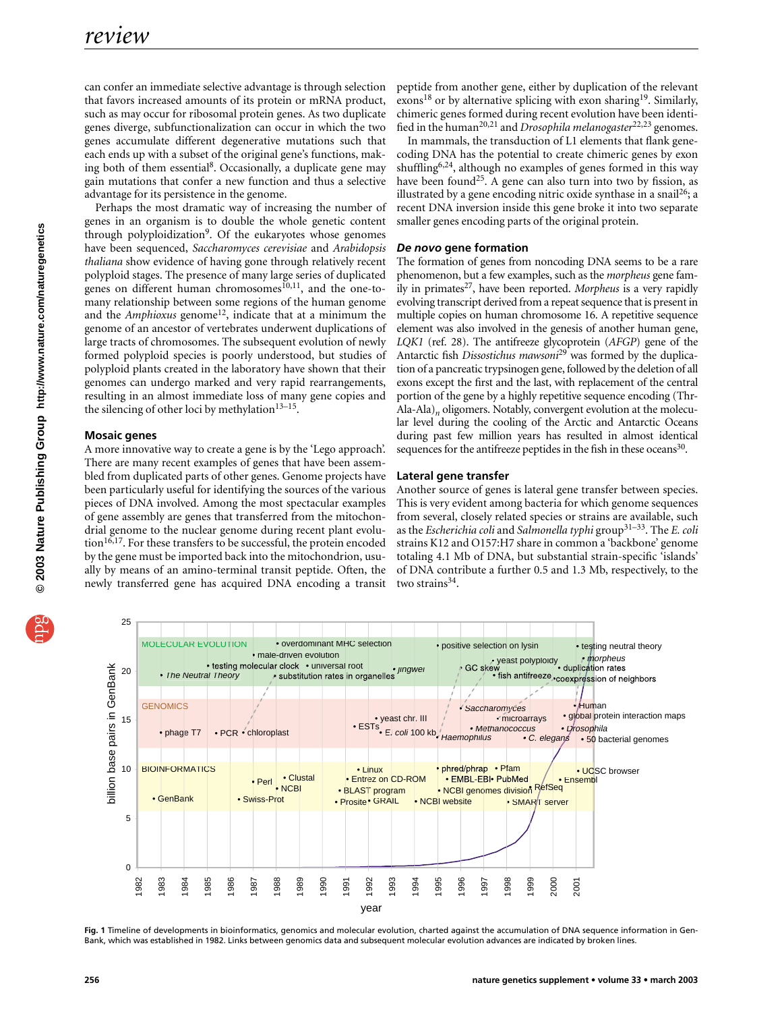can confer an immediate selective advantage is through selection that favors increased amounts of its protein or mRNA product, such as may occur for ribosomal protein genes. As two duplicate genes diverge, subfunctionalization can occur in which the two genes accumulate different degenerative mutations such that each ends up with a subset of the original gene's functions, making both of them essential<sup>8</sup>. Occasionally, a duplicate gene may gain mutations that confer a new function and thus a selective advantage for its persistence in the genome.

Perhaps the most dramatic way of increasing the number of genes in an organism is to double the whole genetic content through polyploidization<sup>9</sup>. Of the eukaryotes whose genomes have been sequenced, *Saccharomyces cerevisiae* and *Arabidopsis thaliana* show evidence of having gone through relatively recent polyploid stages. The presence of many large series of duplicated genes on different human chromosomes $^{10,11}$ , and the one-tomany relationship between some regions of the human genome and the *Amphioxus* genome<sup>12</sup>, indicate that at a minimum the genome of an ancestor of vertebrates underwent duplications of large tracts of chromosomes. The subsequent evolution of newly formed polyploid species is poorly understood, but studies of polyploid plants created in the laboratory have shown that their genomes can undergo marked and very rapid rearrangements, resulting in an almost immediate loss of many gene copies and the silencing of other loci by methylation $13-15$ .

## **Mosaic genes**

A more innovative way to create a gene is by the 'Lego approach'. There are many recent examples of genes that have been assembled from duplicated parts of other genes. Genome projects have been particularly useful for identifying the sources of the various pieces of DNA involved. Among the most spectacular examples of gene assembly are genes that transferred from the mitochondrial genome to the nuclear genome during recent plant evolution<sup>16,17</sup>. For these transfers to be successful, the protein encoded by the gene must be imported back into the mitochondrion, usually by means of an amino-terminal transit peptide. Often, the newly transferred gene has acquired DNA encoding a transit

peptide from another gene, either by duplication of the relevant exons<sup>18</sup> or by alternative splicing with exon sharing<sup>19</sup>. Similarly, chimeric genes formed during recent evolution have been identified in the human20,21 and *Drosophila melanogaster*22,23 genomes.

In mammals, the transduction of L1 elements that flank genecoding DNA has the potential to create chimeric genes by exon shuffling6,24, although no examples of genes formed in this way have been found<sup>25</sup>. A gene can also turn into two by fission, as illustrated by a gene encoding nitric oxide synthase in a snail<sup>26</sup>; a recent DNA inversion inside this gene broke it into two separate smaller genes encoding parts of the original protein.

### *De novo* **gene formation**

The formation of genes from noncoding DNA seems to be a rare phenomenon, but a few examples, such as the *morpheus* gene family in primates<sup>27</sup>, have been reported. *Morpheus* is a very rapidly evolving transcript derived from a repeat sequence that is present in multiple copies on human chromosome 16. A repetitive sequence element was also involved in the genesis of another human gene, *LQK1* (ref. 28). The antifreeze glycoprotein (*AFGP*) gene of the Antarctic fish *Dissostichus mawsoni*<sup>29</sup> was formed by the duplication of a pancreatic trypsinogen gene, followed by the deletion of all exons except the first and the last, with replacement of the central portion of the gene by a highly repetitive sequence encoding (Thr-Ala-Ala)*<sup>n</sup>* oligomers. Notably, convergent evolution at the molecular level during the cooling of the Arctic and Antarctic Oceans during past few million years has resulted in almost identical sequences for the antifreeze peptides in the fish in these oceans<sup>30</sup>.

#### **Lateral gene transfer**

Another source of genes is lateral gene transfer between species. This is very evident among bacteria for which genome sequences from several, closely related species or strains are available, such as the *Escherichia coli* and *Salmonella typhi* group31–33. The *E. coli* strains K12 and O157:H7 share in common a 'backbone' genome totaling 4.1 Mb of DNA, but substantial strain-specific 'islands' of DNA contribute a further 0.5 and 1.3 Mb, respectively, to the two strains $34$ .



**Fig. 1** Timeline of developments in bioinformatics, genomics and molecular evolution, charted against the accumulation of DNA sequence information in Gen-Bank, which was established in 1982. Links between genomics data and subsequent molecular evolution advances are indicated by broken lines.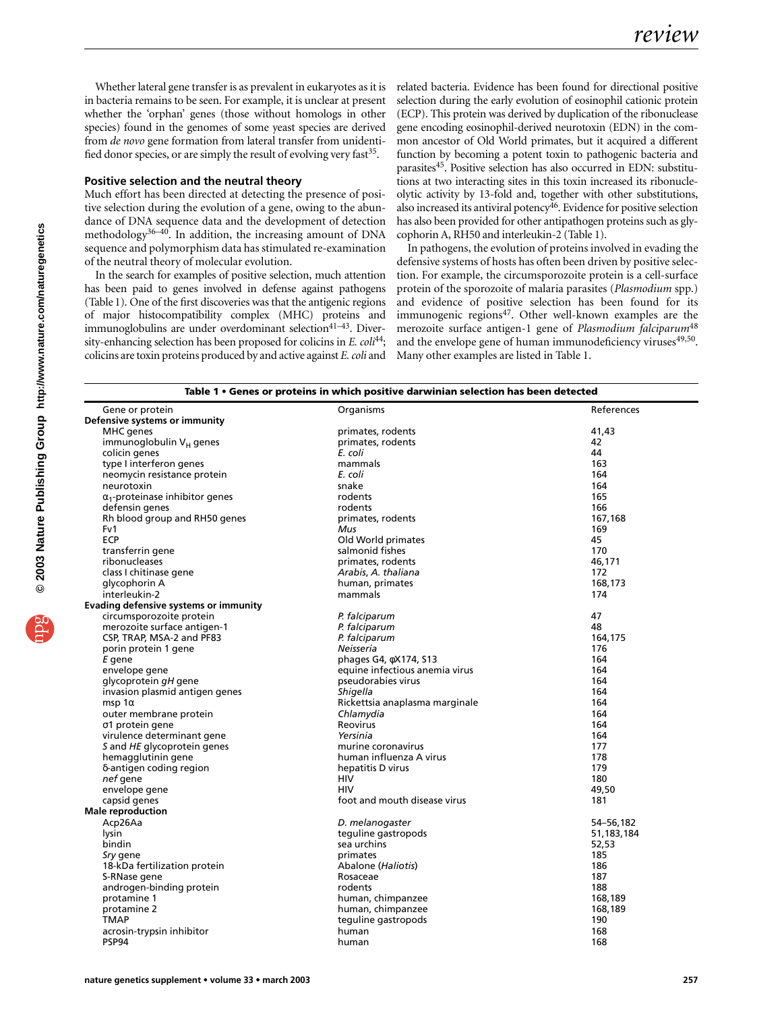Whether lateral gene transfer is as prevalent in eukaryotes as it is in bacteria remains to be seen. For example, it is unclear at present whether the 'orphan' genes (those without homologs in other species) found in the genomes of some yeast species are derived from *de novo* gene formation from lateral transfer from unidentified donor species, or are simply the result of evolving very fast<sup>35</sup>.

#### **Positive selection and the neutral theory**

Much effort has been directed at detecting the presence of positive selection during the evolution of a gene, owing to the abundance of DNA sequence data and the development of detection methodology36–40. In addition, the increasing amount of DNA sequence and polymorphism data has stimulated re-examination of the neutral theory of molecular evolution.

In the search for examples of positive selection, much attention has been paid to genes involved in defense against pathogens (Table 1). One of the first discoveries was that the antigenic regions of major histocompatibility complex (MHC) proteins and immunoglobulins are under overdominant selection $41-43$ . Diversity-enhancing selection has been proposed for colicins in *E. coli*<sup>44</sup>; colicins are toxin proteins produced by and active against *E. coli* and related bacteria. Evidence has been found for directional positive selection during the early evolution of eosinophil cationic protein (ECP). This protein was derived by duplication of the ribonuclease gene encoding eosinophil-derived neurotoxin (EDN) in the common ancestor of Old World primates, but it acquired a different function by becoming a potent toxin to pathogenic bacteria and parasites<sup>45</sup>. Positive selection has also occurred in EDN: substitutions at two interacting sites in this toxin increased its ribonucleolytic activity by 13-fold and, together with other substitutions, also increased its antiviral potency $46$ . Evidence for positive selection has also been provided for other antipathogen proteins such as glycophorin A, RH50 and interleukin-2 (Table 1).

In pathogens, the evolution of proteins involved in evading the defensive systems of hosts has often been driven by positive selection. For example, the circumsporozoite protein is a cell-surface protein of the sporozoite of malaria parasites (*Plasmodium* spp.) and evidence of positive selection has been found for its immunogenic regions<sup>47</sup>. Other well-known examples are the merozoite surface antigen-1 gene of *Plasmodium falciparum*<sup>48</sup> and the envelope gene of human immunodeficiency viruses<sup>49,50</sup>. Many other examples are listed in Table 1.

| Gene or protein<br>Organisms<br>References<br>41,43<br>MHC genes<br>primates, rodents<br>immunoglobulin V <sub>H</sub> genes<br>primates, rodents<br>42<br>colicin genes<br>E. coli<br>44<br>type I interferon genes<br>mammals<br>163<br>neomycin resistance protein<br>E. coli<br>164<br>neurotoxin<br>snake<br>164<br>$\alpha_1$ -proteinase inhibitor genes<br>165<br>rodents<br>defensin genes<br>rodents<br>166<br>Rh blood group and RH50 genes<br>primates, rodents<br>167,168<br>Fv1<br>Mus<br>169<br><b>ECP</b><br>Old World primates<br>45<br>salmonid fishes<br>transferrin gene<br>170<br>ribonucleases<br>primates, rodents<br>46.171<br>class I chitinase gene<br>Arabis, A. thaliana<br>172<br>glycophorin A<br>human, primates<br>168,173<br>interleukin-2<br>174<br>mammals<br><b>Evading defensive systems or immunity</b><br>circumsporozoite protein<br>47<br>P. falciparum<br>merozoite surface antigen-1<br>P. falciparum<br>48<br>CSP, TRAP, MSA-2 and PF83<br>P. falciparum<br>164,175<br>porin protein 1 gene<br>Neisseria<br>176<br>phages G4, $\phi$ X174, S13<br>E gene<br>164<br>envelope gene<br>equine infectious anemia virus<br>164<br>glycoprotein gH gene<br>pseudorabies virus<br>164<br>invasion plasmid antigen genes<br>Shigella<br>164<br>164<br>msp $1\alpha$<br>Rickettsia anaplasma marginale<br>164<br>outer membrane protein<br>Chlamydia<br>σ1 protein gene<br>Reovirus<br>164<br>virulence determinant gene<br>Yersinia<br>164<br>S and HE glycoprotein genes<br>murine coronavirus<br>177<br>hemagglutinin gene<br>human influenza A virus<br>178<br>δ-antigen coding region<br>hepatitis D virus<br>179<br><b>HIV</b><br>nef gene<br>180<br><b>HIV</b><br>49,50<br>envelope gene<br>capsid genes<br>foot and mouth disease virus<br>181<br><b>Male reproduction</b><br>Acp26Aa<br>D. melanogaster<br>54-56,182<br>lysin<br>teguline gastropods<br>51,183,184<br>bindin<br>sea urchins<br>52,53<br>Sry gene<br>primates<br>185<br>Abalone (Haliotis)<br>186<br>18-kDa fertilization protein<br>S-RNase gene<br>187<br>Rosaceae<br>androgen-binding protein<br>188<br>rodents<br>protamine 1<br>human, chimpanzee<br>168,189<br>human, chimpanzee<br>protamine 2<br>168,189 | Table 1 • Genes or proteins in which positive darwinian selection has been detected |  |  |  |  |  |
|-----------------------------------------------------------------------------------------------------------------------------------------------------------------------------------------------------------------------------------------------------------------------------------------------------------------------------------------------------------------------------------------------------------------------------------------------------------------------------------------------------------------------------------------------------------------------------------------------------------------------------------------------------------------------------------------------------------------------------------------------------------------------------------------------------------------------------------------------------------------------------------------------------------------------------------------------------------------------------------------------------------------------------------------------------------------------------------------------------------------------------------------------------------------------------------------------------------------------------------------------------------------------------------------------------------------------------------------------------------------------------------------------------------------------------------------------------------------------------------------------------------------------------------------------------------------------------------------------------------------------------------------------------------------------------------------------------------------------------------------------------------------------------------------------------------------------------------------------------------------------------------------------------------------------------------------------------------------------------------------------------------------------------------------------------------------------------------------------------------------------------------------------------------------------------------------------------------------------------|-------------------------------------------------------------------------------------|--|--|--|--|--|
|                                                                                                                                                                                                                                                                                                                                                                                                                                                                                                                                                                                                                                                                                                                                                                                                                                                                                                                                                                                                                                                                                                                                                                                                                                                                                                                                                                                                                                                                                                                                                                                                                                                                                                                                                                                                                                                                                                                                                                                                                                                                                                                                                                                                                             |                                                                                     |  |  |  |  |  |
|                                                                                                                                                                                                                                                                                                                                                                                                                                                                                                                                                                                                                                                                                                                                                                                                                                                                                                                                                                                                                                                                                                                                                                                                                                                                                                                                                                                                                                                                                                                                                                                                                                                                                                                                                                                                                                                                                                                                                                                                                                                                                                                                                                                                                             | Defensive systems or immunity                                                       |  |  |  |  |  |
|                                                                                                                                                                                                                                                                                                                                                                                                                                                                                                                                                                                                                                                                                                                                                                                                                                                                                                                                                                                                                                                                                                                                                                                                                                                                                                                                                                                                                                                                                                                                                                                                                                                                                                                                                                                                                                                                                                                                                                                                                                                                                                                                                                                                                             |                                                                                     |  |  |  |  |  |
|                                                                                                                                                                                                                                                                                                                                                                                                                                                                                                                                                                                                                                                                                                                                                                                                                                                                                                                                                                                                                                                                                                                                                                                                                                                                                                                                                                                                                                                                                                                                                                                                                                                                                                                                                                                                                                                                                                                                                                                                                                                                                                                                                                                                                             |                                                                                     |  |  |  |  |  |
|                                                                                                                                                                                                                                                                                                                                                                                                                                                                                                                                                                                                                                                                                                                                                                                                                                                                                                                                                                                                                                                                                                                                                                                                                                                                                                                                                                                                                                                                                                                                                                                                                                                                                                                                                                                                                                                                                                                                                                                                                                                                                                                                                                                                                             |                                                                                     |  |  |  |  |  |
|                                                                                                                                                                                                                                                                                                                                                                                                                                                                                                                                                                                                                                                                                                                                                                                                                                                                                                                                                                                                                                                                                                                                                                                                                                                                                                                                                                                                                                                                                                                                                                                                                                                                                                                                                                                                                                                                                                                                                                                                                                                                                                                                                                                                                             |                                                                                     |  |  |  |  |  |
|                                                                                                                                                                                                                                                                                                                                                                                                                                                                                                                                                                                                                                                                                                                                                                                                                                                                                                                                                                                                                                                                                                                                                                                                                                                                                                                                                                                                                                                                                                                                                                                                                                                                                                                                                                                                                                                                                                                                                                                                                                                                                                                                                                                                                             |                                                                                     |  |  |  |  |  |
|                                                                                                                                                                                                                                                                                                                                                                                                                                                                                                                                                                                                                                                                                                                                                                                                                                                                                                                                                                                                                                                                                                                                                                                                                                                                                                                                                                                                                                                                                                                                                                                                                                                                                                                                                                                                                                                                                                                                                                                                                                                                                                                                                                                                                             |                                                                                     |  |  |  |  |  |
|                                                                                                                                                                                                                                                                                                                                                                                                                                                                                                                                                                                                                                                                                                                                                                                                                                                                                                                                                                                                                                                                                                                                                                                                                                                                                                                                                                                                                                                                                                                                                                                                                                                                                                                                                                                                                                                                                                                                                                                                                                                                                                                                                                                                                             |                                                                                     |  |  |  |  |  |
|                                                                                                                                                                                                                                                                                                                                                                                                                                                                                                                                                                                                                                                                                                                                                                                                                                                                                                                                                                                                                                                                                                                                                                                                                                                                                                                                                                                                                                                                                                                                                                                                                                                                                                                                                                                                                                                                                                                                                                                                                                                                                                                                                                                                                             |                                                                                     |  |  |  |  |  |
|                                                                                                                                                                                                                                                                                                                                                                                                                                                                                                                                                                                                                                                                                                                                                                                                                                                                                                                                                                                                                                                                                                                                                                                                                                                                                                                                                                                                                                                                                                                                                                                                                                                                                                                                                                                                                                                                                                                                                                                                                                                                                                                                                                                                                             |                                                                                     |  |  |  |  |  |
|                                                                                                                                                                                                                                                                                                                                                                                                                                                                                                                                                                                                                                                                                                                                                                                                                                                                                                                                                                                                                                                                                                                                                                                                                                                                                                                                                                                                                                                                                                                                                                                                                                                                                                                                                                                                                                                                                                                                                                                                                                                                                                                                                                                                                             |                                                                                     |  |  |  |  |  |
|                                                                                                                                                                                                                                                                                                                                                                                                                                                                                                                                                                                                                                                                                                                                                                                                                                                                                                                                                                                                                                                                                                                                                                                                                                                                                                                                                                                                                                                                                                                                                                                                                                                                                                                                                                                                                                                                                                                                                                                                                                                                                                                                                                                                                             |                                                                                     |  |  |  |  |  |
|                                                                                                                                                                                                                                                                                                                                                                                                                                                                                                                                                                                                                                                                                                                                                                                                                                                                                                                                                                                                                                                                                                                                                                                                                                                                                                                                                                                                                                                                                                                                                                                                                                                                                                                                                                                                                                                                                                                                                                                                                                                                                                                                                                                                                             |                                                                                     |  |  |  |  |  |
|                                                                                                                                                                                                                                                                                                                                                                                                                                                                                                                                                                                                                                                                                                                                                                                                                                                                                                                                                                                                                                                                                                                                                                                                                                                                                                                                                                                                                                                                                                                                                                                                                                                                                                                                                                                                                                                                                                                                                                                                                                                                                                                                                                                                                             |                                                                                     |  |  |  |  |  |
|                                                                                                                                                                                                                                                                                                                                                                                                                                                                                                                                                                                                                                                                                                                                                                                                                                                                                                                                                                                                                                                                                                                                                                                                                                                                                                                                                                                                                                                                                                                                                                                                                                                                                                                                                                                                                                                                                                                                                                                                                                                                                                                                                                                                                             |                                                                                     |  |  |  |  |  |
|                                                                                                                                                                                                                                                                                                                                                                                                                                                                                                                                                                                                                                                                                                                                                                                                                                                                                                                                                                                                                                                                                                                                                                                                                                                                                                                                                                                                                                                                                                                                                                                                                                                                                                                                                                                                                                                                                                                                                                                                                                                                                                                                                                                                                             |                                                                                     |  |  |  |  |  |
|                                                                                                                                                                                                                                                                                                                                                                                                                                                                                                                                                                                                                                                                                                                                                                                                                                                                                                                                                                                                                                                                                                                                                                                                                                                                                                                                                                                                                                                                                                                                                                                                                                                                                                                                                                                                                                                                                                                                                                                                                                                                                                                                                                                                                             |                                                                                     |  |  |  |  |  |
|                                                                                                                                                                                                                                                                                                                                                                                                                                                                                                                                                                                                                                                                                                                                                                                                                                                                                                                                                                                                                                                                                                                                                                                                                                                                                                                                                                                                                                                                                                                                                                                                                                                                                                                                                                                                                                                                                                                                                                                                                                                                                                                                                                                                                             |                                                                                     |  |  |  |  |  |
|                                                                                                                                                                                                                                                                                                                                                                                                                                                                                                                                                                                                                                                                                                                                                                                                                                                                                                                                                                                                                                                                                                                                                                                                                                                                                                                                                                                                                                                                                                                                                                                                                                                                                                                                                                                                                                                                                                                                                                                                                                                                                                                                                                                                                             |                                                                                     |  |  |  |  |  |
|                                                                                                                                                                                                                                                                                                                                                                                                                                                                                                                                                                                                                                                                                                                                                                                                                                                                                                                                                                                                                                                                                                                                                                                                                                                                                                                                                                                                                                                                                                                                                                                                                                                                                                                                                                                                                                                                                                                                                                                                                                                                                                                                                                                                                             |                                                                                     |  |  |  |  |  |
|                                                                                                                                                                                                                                                                                                                                                                                                                                                                                                                                                                                                                                                                                                                                                                                                                                                                                                                                                                                                                                                                                                                                                                                                                                                                                                                                                                                                                                                                                                                                                                                                                                                                                                                                                                                                                                                                                                                                                                                                                                                                                                                                                                                                                             |                                                                                     |  |  |  |  |  |
|                                                                                                                                                                                                                                                                                                                                                                                                                                                                                                                                                                                                                                                                                                                                                                                                                                                                                                                                                                                                                                                                                                                                                                                                                                                                                                                                                                                                                                                                                                                                                                                                                                                                                                                                                                                                                                                                                                                                                                                                                                                                                                                                                                                                                             |                                                                                     |  |  |  |  |  |
|                                                                                                                                                                                                                                                                                                                                                                                                                                                                                                                                                                                                                                                                                                                                                                                                                                                                                                                                                                                                                                                                                                                                                                                                                                                                                                                                                                                                                                                                                                                                                                                                                                                                                                                                                                                                                                                                                                                                                                                                                                                                                                                                                                                                                             |                                                                                     |  |  |  |  |  |
|                                                                                                                                                                                                                                                                                                                                                                                                                                                                                                                                                                                                                                                                                                                                                                                                                                                                                                                                                                                                                                                                                                                                                                                                                                                                                                                                                                                                                                                                                                                                                                                                                                                                                                                                                                                                                                                                                                                                                                                                                                                                                                                                                                                                                             |                                                                                     |  |  |  |  |  |
|                                                                                                                                                                                                                                                                                                                                                                                                                                                                                                                                                                                                                                                                                                                                                                                                                                                                                                                                                                                                                                                                                                                                                                                                                                                                                                                                                                                                                                                                                                                                                                                                                                                                                                                                                                                                                                                                                                                                                                                                                                                                                                                                                                                                                             |                                                                                     |  |  |  |  |  |
|                                                                                                                                                                                                                                                                                                                                                                                                                                                                                                                                                                                                                                                                                                                                                                                                                                                                                                                                                                                                                                                                                                                                                                                                                                                                                                                                                                                                                                                                                                                                                                                                                                                                                                                                                                                                                                                                                                                                                                                                                                                                                                                                                                                                                             |                                                                                     |  |  |  |  |  |
|                                                                                                                                                                                                                                                                                                                                                                                                                                                                                                                                                                                                                                                                                                                                                                                                                                                                                                                                                                                                                                                                                                                                                                                                                                                                                                                                                                                                                                                                                                                                                                                                                                                                                                                                                                                                                                                                                                                                                                                                                                                                                                                                                                                                                             |                                                                                     |  |  |  |  |  |
|                                                                                                                                                                                                                                                                                                                                                                                                                                                                                                                                                                                                                                                                                                                                                                                                                                                                                                                                                                                                                                                                                                                                                                                                                                                                                                                                                                                                                                                                                                                                                                                                                                                                                                                                                                                                                                                                                                                                                                                                                                                                                                                                                                                                                             |                                                                                     |  |  |  |  |  |
|                                                                                                                                                                                                                                                                                                                                                                                                                                                                                                                                                                                                                                                                                                                                                                                                                                                                                                                                                                                                                                                                                                                                                                                                                                                                                                                                                                                                                                                                                                                                                                                                                                                                                                                                                                                                                                                                                                                                                                                                                                                                                                                                                                                                                             |                                                                                     |  |  |  |  |  |
|                                                                                                                                                                                                                                                                                                                                                                                                                                                                                                                                                                                                                                                                                                                                                                                                                                                                                                                                                                                                                                                                                                                                                                                                                                                                                                                                                                                                                                                                                                                                                                                                                                                                                                                                                                                                                                                                                                                                                                                                                                                                                                                                                                                                                             |                                                                                     |  |  |  |  |  |
|                                                                                                                                                                                                                                                                                                                                                                                                                                                                                                                                                                                                                                                                                                                                                                                                                                                                                                                                                                                                                                                                                                                                                                                                                                                                                                                                                                                                                                                                                                                                                                                                                                                                                                                                                                                                                                                                                                                                                                                                                                                                                                                                                                                                                             |                                                                                     |  |  |  |  |  |
|                                                                                                                                                                                                                                                                                                                                                                                                                                                                                                                                                                                                                                                                                                                                                                                                                                                                                                                                                                                                                                                                                                                                                                                                                                                                                                                                                                                                                                                                                                                                                                                                                                                                                                                                                                                                                                                                                                                                                                                                                                                                                                                                                                                                                             |                                                                                     |  |  |  |  |  |
|                                                                                                                                                                                                                                                                                                                                                                                                                                                                                                                                                                                                                                                                                                                                                                                                                                                                                                                                                                                                                                                                                                                                                                                                                                                                                                                                                                                                                                                                                                                                                                                                                                                                                                                                                                                                                                                                                                                                                                                                                                                                                                                                                                                                                             |                                                                                     |  |  |  |  |  |
|                                                                                                                                                                                                                                                                                                                                                                                                                                                                                                                                                                                                                                                                                                                                                                                                                                                                                                                                                                                                                                                                                                                                                                                                                                                                                                                                                                                                                                                                                                                                                                                                                                                                                                                                                                                                                                                                                                                                                                                                                                                                                                                                                                                                                             |                                                                                     |  |  |  |  |  |
|                                                                                                                                                                                                                                                                                                                                                                                                                                                                                                                                                                                                                                                                                                                                                                                                                                                                                                                                                                                                                                                                                                                                                                                                                                                                                                                                                                                                                                                                                                                                                                                                                                                                                                                                                                                                                                                                                                                                                                                                                                                                                                                                                                                                                             |                                                                                     |  |  |  |  |  |
|                                                                                                                                                                                                                                                                                                                                                                                                                                                                                                                                                                                                                                                                                                                                                                                                                                                                                                                                                                                                                                                                                                                                                                                                                                                                                                                                                                                                                                                                                                                                                                                                                                                                                                                                                                                                                                                                                                                                                                                                                                                                                                                                                                                                                             |                                                                                     |  |  |  |  |  |
|                                                                                                                                                                                                                                                                                                                                                                                                                                                                                                                                                                                                                                                                                                                                                                                                                                                                                                                                                                                                                                                                                                                                                                                                                                                                                                                                                                                                                                                                                                                                                                                                                                                                                                                                                                                                                                                                                                                                                                                                                                                                                                                                                                                                                             |                                                                                     |  |  |  |  |  |
|                                                                                                                                                                                                                                                                                                                                                                                                                                                                                                                                                                                                                                                                                                                                                                                                                                                                                                                                                                                                                                                                                                                                                                                                                                                                                                                                                                                                                                                                                                                                                                                                                                                                                                                                                                                                                                                                                                                                                                                                                                                                                                                                                                                                                             |                                                                                     |  |  |  |  |  |
|                                                                                                                                                                                                                                                                                                                                                                                                                                                                                                                                                                                                                                                                                                                                                                                                                                                                                                                                                                                                                                                                                                                                                                                                                                                                                                                                                                                                                                                                                                                                                                                                                                                                                                                                                                                                                                                                                                                                                                                                                                                                                                                                                                                                                             |                                                                                     |  |  |  |  |  |
|                                                                                                                                                                                                                                                                                                                                                                                                                                                                                                                                                                                                                                                                                                                                                                                                                                                                                                                                                                                                                                                                                                                                                                                                                                                                                                                                                                                                                                                                                                                                                                                                                                                                                                                                                                                                                                                                                                                                                                                                                                                                                                                                                                                                                             |                                                                                     |  |  |  |  |  |
|                                                                                                                                                                                                                                                                                                                                                                                                                                                                                                                                                                                                                                                                                                                                                                                                                                                                                                                                                                                                                                                                                                                                                                                                                                                                                                                                                                                                                                                                                                                                                                                                                                                                                                                                                                                                                                                                                                                                                                                                                                                                                                                                                                                                                             |                                                                                     |  |  |  |  |  |
|                                                                                                                                                                                                                                                                                                                                                                                                                                                                                                                                                                                                                                                                                                                                                                                                                                                                                                                                                                                                                                                                                                                                                                                                                                                                                                                                                                                                                                                                                                                                                                                                                                                                                                                                                                                                                                                                                                                                                                                                                                                                                                                                                                                                                             |                                                                                     |  |  |  |  |  |
|                                                                                                                                                                                                                                                                                                                                                                                                                                                                                                                                                                                                                                                                                                                                                                                                                                                                                                                                                                                                                                                                                                                                                                                                                                                                                                                                                                                                                                                                                                                                                                                                                                                                                                                                                                                                                                                                                                                                                                                                                                                                                                                                                                                                                             |                                                                                     |  |  |  |  |  |
|                                                                                                                                                                                                                                                                                                                                                                                                                                                                                                                                                                                                                                                                                                                                                                                                                                                                                                                                                                                                                                                                                                                                                                                                                                                                                                                                                                                                                                                                                                                                                                                                                                                                                                                                                                                                                                                                                                                                                                                                                                                                                                                                                                                                                             |                                                                                     |  |  |  |  |  |
|                                                                                                                                                                                                                                                                                                                                                                                                                                                                                                                                                                                                                                                                                                                                                                                                                                                                                                                                                                                                                                                                                                                                                                                                                                                                                                                                                                                                                                                                                                                                                                                                                                                                                                                                                                                                                                                                                                                                                                                                                                                                                                                                                                                                                             |                                                                                     |  |  |  |  |  |
|                                                                                                                                                                                                                                                                                                                                                                                                                                                                                                                                                                                                                                                                                                                                                                                                                                                                                                                                                                                                                                                                                                                                                                                                                                                                                                                                                                                                                                                                                                                                                                                                                                                                                                                                                                                                                                                                                                                                                                                                                                                                                                                                                                                                                             |                                                                                     |  |  |  |  |  |
| <b>TMAP</b><br>teguline gastropods<br>190                                                                                                                                                                                                                                                                                                                                                                                                                                                                                                                                                                                                                                                                                                                                                                                                                                                                                                                                                                                                                                                                                                                                                                                                                                                                                                                                                                                                                                                                                                                                                                                                                                                                                                                                                                                                                                                                                                                                                                                                                                                                                                                                                                                   |                                                                                     |  |  |  |  |  |
| acrosin-trypsin inhibitor<br>human<br>168                                                                                                                                                                                                                                                                                                                                                                                                                                                                                                                                                                                                                                                                                                                                                                                                                                                                                                                                                                                                                                                                                                                                                                                                                                                                                                                                                                                                                                                                                                                                                                                                                                                                                                                                                                                                                                                                                                                                                                                                                                                                                                                                                                                   |                                                                                     |  |  |  |  |  |
| PSP94<br>168<br>human                                                                                                                                                                                                                                                                                                                                                                                                                                                                                                                                                                                                                                                                                                                                                                                                                                                                                                                                                                                                                                                                                                                                                                                                                                                                                                                                                                                                                                                                                                                                                                                                                                                                                                                                                                                                                                                                                                                                                                                                                                                                                                                                                                                                       |                                                                                     |  |  |  |  |  |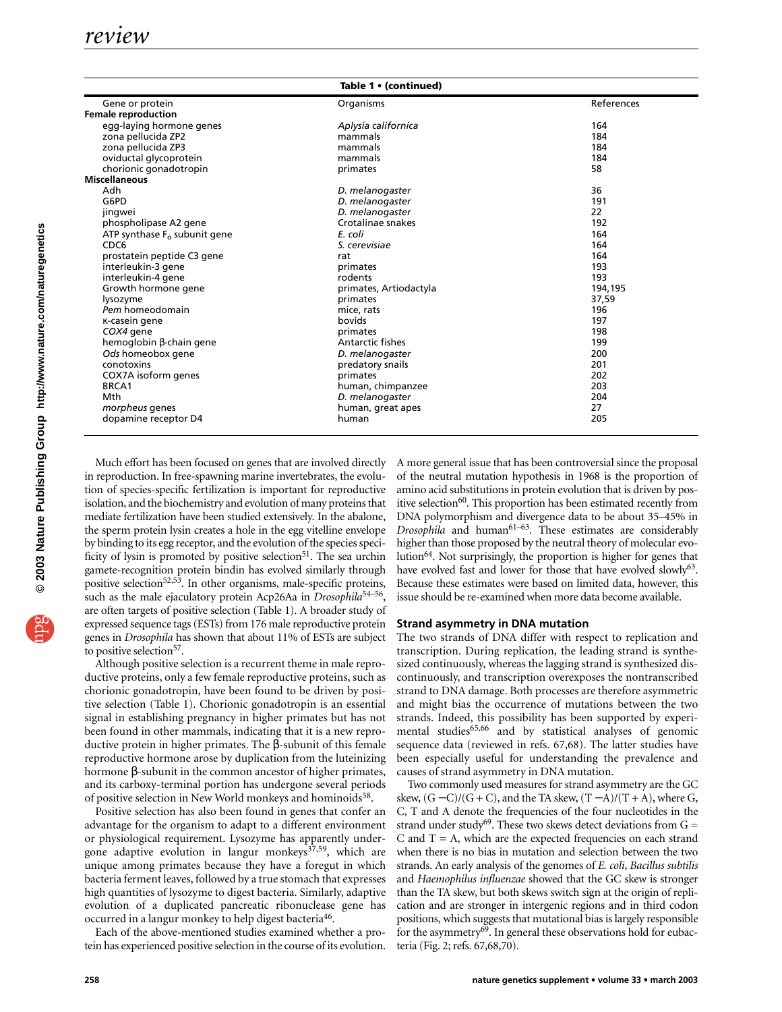|                                 | Table 1 • (continued)   |            |
|---------------------------------|-------------------------|------------|
| Gene or protein                 | Organisms               | References |
| <b>Female reproduction</b>      |                         |            |
| egg-laying hormone genes        | Aplysia californica     | 164        |
| zona pellucida ZP2              | mammals                 | 184        |
| zona pellucida ZP3              | mammals                 | 184        |
| oviductal glycoprotein          | mammals                 | 184        |
| chorionic gonadotropin          | primates                | 58         |
| <b>Miscellaneous</b>            |                         |            |
| Adh                             | D. melanogaster         | 36         |
| G6PD                            | D. melanogaster         | 191        |
| jingwei                         | D. melanogaster         | 22         |
| phospholipase A2 gene           | Crotalinae snakes       | 192        |
| ATP synthase $F_0$ subunit gene | E. coli                 | 164        |
| CDC <sub>6</sub>                | S. cerevisiae           | 164        |
| prostatein peptide C3 gene      | rat                     | 164        |
| interleukin-3 gene              | primates                | 193        |
| interleukin-4 gene              | rodents                 | 193        |
| Growth hormone gene             | primates, Artiodactyla  | 194,195    |
| lysozyme                        | primates                | 37,59      |
| Pem homeodomain                 | mice, rats              | 196        |
| K-casein gene                   | bovids                  | 197        |
| COX4 gene                       | primates                | 198        |
| hemoglobin β-chain gene         | <b>Antarctic fishes</b> | 199        |
| Ods homeobox gene               | D. melanogaster         | 200        |
| conotoxins                      | predatory snails        | 201        |
| COX7A isoform genes             | primates                | 202        |
| BRCA1                           | human, chimpanzee       | 203        |
| Mth                             | D. melanogaster         | 204        |
| morpheus genes                  | human, great apes       | 27         |
| dopamine receptor D4            | human                   | 205        |
|                                 |                         |            |

Much effort has been focused on genes that are involved directly in reproduction. In free-spawning marine invertebrates, the evolution of species-specific fertilization is important for reproductive isolation, and the biochemistry and evolution of many proteins that mediate fertilization have been studied extensively. In the abalone, the sperm protein lysin creates a hole in the egg vitelline envelope by binding to its egg receptor, and the evolution of the species specificity of lysin is promoted by positive selection<sup>51</sup>. The sea urchin gamete-recognition protein bindin has evolved similarly through positive selection<sup>52,53</sup>. In other organisms, male-specific proteins, such as the male ejaculatory protein Acp26Aa in *Drosophila*54–56, are often targets of positive selection (Table 1). A broader study of expressed sequence tags (ESTs) from 176 male reproductive protein genes in *Drosophila* has shown that about 11% of ESTs are subject to positive selection<sup>57</sup>.

Although positive selection is a recurrent theme in male reproductive proteins, only a few female reproductive proteins, such as chorionic gonadotropin, have been found to be driven by positive selection (Table 1). Chorionic gonadotropin is an essential signal in establishing pregnancy in higher primates but has not been found in other mammals, indicating that it is a new reproductive protein in higher primates. The β-subunit of this female reproductive hormone arose by duplication from the luteinizing hormone β-subunit in the common ancestor of higher primates, and its carboxy-terminal portion has undergone several periods of positive selection in New World monkeys and hominoids<sup>58</sup>.

Positive selection has also been found in genes that confer an advantage for the organism to adapt to a different environment or physiological requirement. Lysozyme has apparently undergone adaptive evolution in langur monkeys $37,59$ , which are unique among primates because they have a foregut in which bacteria ferment leaves, followed by a true stomach that expresses high quantities of lysozyme to digest bacteria. Similarly, adaptive evolution of a duplicated pancreatic ribonuclease gene has occurred in a langur monkey to help digest bacteria<sup>46</sup>.

Each of the above-mentioned studies examined whether a protein has experienced positive selection in the course of its evolution. A more general issue that has been controversial since the proposal of the neutral mutation hypothesis in 1968 is the proportion of amino acid substitutions in protein evolution that is driven by positive selection<sup>60</sup>. This proportion has been estimated recently from DNA polymorphism and divergence data to be about 35–45% in *Drosophila* and human<sup>61–63</sup>. These estimates are considerably higher than those proposed by the neutral theory of molecular evolution64. Not surprisingly, the proportion is higher for genes that have evolved fast and lower for those that have evolved slowly<sup>63</sup>. Because these estimates were based on limited data, however, this issue should be re-examined when more data become available.

#### **Strand asymmetry in DNA mutation**

The two strands of DNA differ with respect to replication and transcription. During replication, the leading strand is synthesized continuously, whereas the lagging strand is synthesized discontinuously, and transcription overexposes the nontranscribed strand to DNA damage. Both processes are therefore asymmetric and might bias the occurrence of mutations between the two strands. Indeed, this possibility has been supported by experimental studies<sup>65,66</sup> and by statistical analyses of genomic sequence data (reviewed in refs. 67,68). The latter studies have been especially useful for understanding the prevalence and causes of strand asymmetry in DNA mutation.

Two commonly used measures for strand asymmetry are the GC skew,  $(G - C)/(G + C)$ , and the TA skew,  $(T - A)/(T + A)$ , where G, C, T and A denote the frequencies of the four nucleotides in the strand under study<sup>69</sup>. These two skews detect deviations from  $G =$ C and  $T = A$ , which are the expected frequencies on each strand when there is no bias in mutation and selection between the two strands. An early analysis of the genomes of *E. coli*, *Bacillus subtilis* and *Haemophilus influenzae* showed that the GC skew is stronger than the TA skew, but both skews switch sign at the origin of replication and are stronger in intergenic regions and in third codon positions, which suggests that mutational bias is largely responsible for the asymmetry<sup>69</sup>. In general these observations hold for eubacteria (Fig. 2; refs. 67,68,70).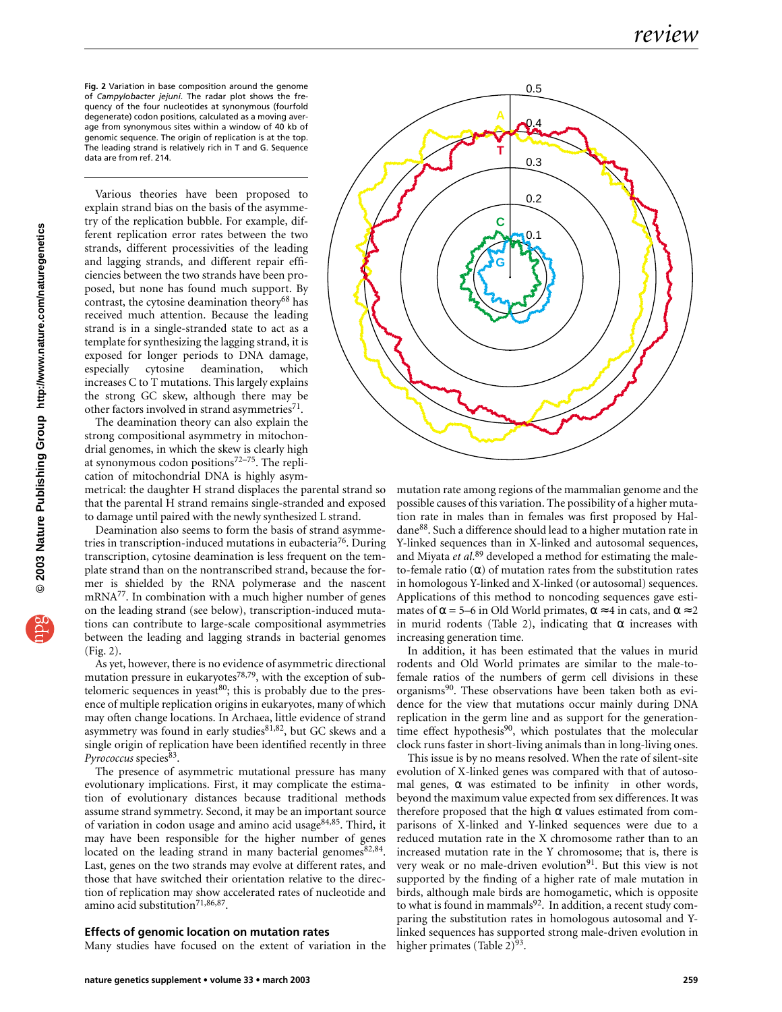**Fig. 2** Variation in base composition around the genome of *Campylobacter jejuni*. The radar plot shows the frequency of the four nucleotides at synonymous (fourfold degenerate) codon positions, calculated as a moving average from synonymous sites within a window of 40 kb of genomic sequence. The origin of replication is at the top. The leading strand is relatively rich in T and G. Sequence data are from ref. 214.

Various theories have been proposed to explain strand bias on the basis of the asymmetry of the replication bubble. For example, different replication error rates between the two strands, different processivities of the leading and lagging strands, and different repair efficiencies between the two strands have been proposed, but none has found much support. By contrast, the cytosine deamination theory<sup>68</sup> has received much attention. Because the leading strand is in a single-stranded state to act as a template for synthesizing the lagging strand, it is exposed for longer periods to DNA damage, especially cytosine deamination, which increases C to T mutations. This largely explains the strong GC skew, although there may be other factors involved in strand asymmetries<sup>71</sup>.

The deamination theory can also explain the strong compositional asymmetry in mitochondrial genomes, in which the skew is clearly high at synonymous codon positions72–75. The replication of mitochondrial DNA is highly asym-

metrical: the daughter H strand displaces the parental strand so that the parental H strand remains single-stranded and exposed to damage until paired with the newly synthesized L strand.

Deamination also seems to form the basis of strand asymmetries in transcription-induced mutations in eubacteria76. During transcription, cytosine deamination is less frequent on the template strand than on the nontranscribed strand, because the former is shielded by the RNA polymerase and the nascent  $mRNA<sup>77</sup>$ . In combination with a much higher number of genes on the leading strand (see below), transcription-induced mutations can contribute to large-scale compositional asymmetries between the leading and lagging strands in bacterial genomes (Fig. 2).

As yet, however, there is no evidence of asymmetric directional mutation pressure in eukaryotes $78,79$ , with the exception of subtelomeric sequences in yeast $80$ ; this is probably due to the presence of multiple replication origins in eukaryotes, many of which may often change locations. In Archaea, little evidence of strand asymmetry was found in early studies<sup>81,82</sup>, but GC skews and a single origin of replication have been identified recently in three *Pyrococcus* species<sup>83</sup>.

The presence of asymmetric mutational pressure has many evolutionary implications. First, it may complicate the estimation of evolutionary distances because traditional methods assume strand symmetry. Second, it may be an important source of variation in codon usage and amino acid usage84,85. Third, it may have been responsible for the higher number of genes located on the leading strand in many bacterial genomes  $82,84$ . Last, genes on the two strands may evolve at different rates, and those that have switched their orientation relative to the direction of replication may show accelerated rates of nucleotide and amino acid substitution $^{71,86,87}$ .

#### **Effects of genomic location on mutation rates**

Many studies have focused on the extent of variation in the



mutation rate among regions of the mammalian genome and the possible causes of this variation. The possibility of a higher mutation rate in males than in females was first proposed by Haldane88. Such a difference should lead to a higher mutation rate in Y-linked sequences than in X-linked and autosomal sequences, and Miyata *et al*. <sup>89</sup> developed a method for estimating the maleto-female ratio (α) of mutation rates from the substitution rates in homologous Y-linked and X-linked (or autosomal) sequences. Applications of this method to noncoding sequences gave estimates of  $\alpha$  = 5–6 in Old World primates,  $\alpha \approx 4$  in cats, and  $\alpha \approx 2$ in murid rodents (Table 2), indicating that  $\alpha$  increases with increasing generation time.

In addition, it has been estimated that the values in murid rodents and Old World primates are similar to the male-tofemale ratios of the numbers of germ cell divisions in these organisms<sup>90</sup>. These observations have been taken both as evidence for the view that mutations occur mainly during DNA replication in the germ line and as support for the generationtime effect hypothesis<sup>90</sup>, which postulates that the molecular clock runs faster in short-living animals than in long-living ones.

This issue is by no means resolved. When the rate of silent-site evolution of X-linked genes was compared with that of autosomal genes,  $\alpha$  was estimated to be infinity-in other words, beyond the maximum value expected from sex differences. It was therefore proposed that the high  $\alpha$  values estimated from comparisons of X-linked and Y-linked sequences were due to a reduced mutation rate in the X chromosome rather than to an increased mutation rate in the Y chromosome; that is, there is very weak or no male-driven evolution<sup>91</sup>. But this view is not supported by the finding of a higher rate of male mutation in birds, although male birds are homogametic, which is opposite to what is found in mammals<sup>92</sup>. In addition, a recent study comparing the substitution rates in homologous autosomal and Ylinked sequences has supported strong male-driven evolution in higher primates (Table  $2)^{93}$ .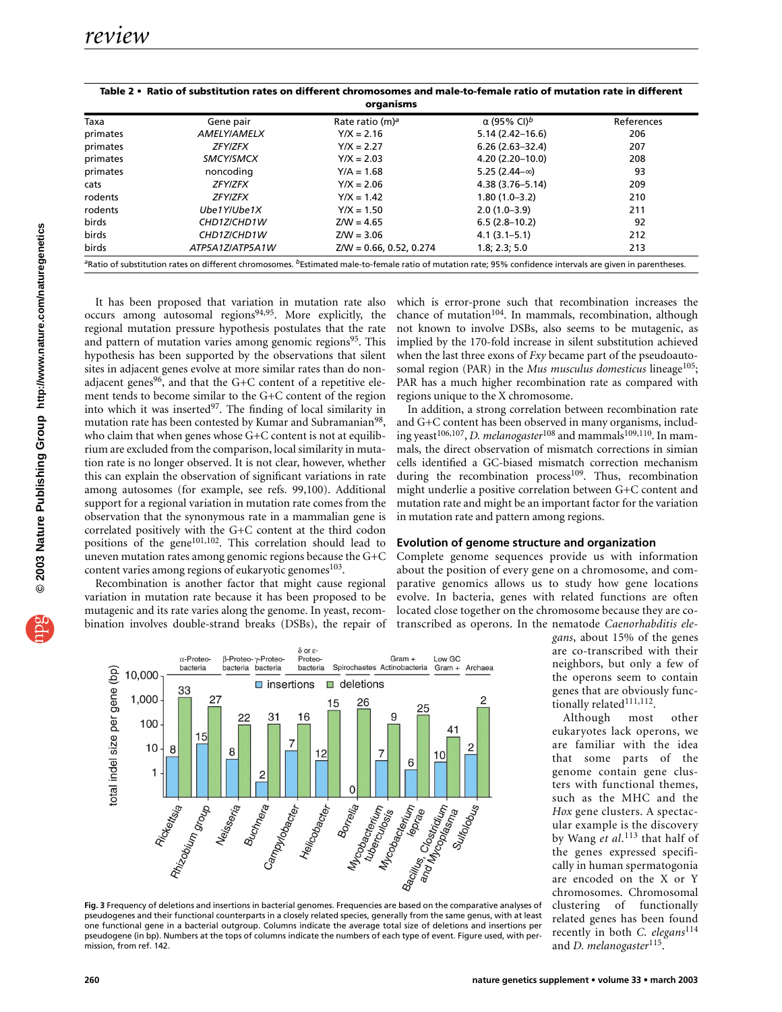| Taxa     | Gene pair          | Rate ratio $(m)^a$        | $\alpha$ (95% CI) <sup>b</sup> | References |
|----------|--------------------|---------------------------|--------------------------------|------------|
| primates | <b>AMELY/AMELX</b> | $Y/X = 2.16$              | $5.14(2.42 - 16.6)$            | 206        |
| primates | <b>ZFYIZFX</b>     | $Y/X = 2.27$              | $6.26(2.63 - 32.4)$            | 207        |
| primates | <b>SMCY/SMCX</b>   | $Y/X = 2.03$              | $4.20(2.20-10.0)$              | 208        |
| primates | noncoding          | $Y/A = 1.68$              | $5.25(2.44-\infty)$            | 93         |
| cats     | <b>ZFYIZFX</b>     | $Y/X = 2.06$              | 4.38 (3.76-5.14)               | 209        |
| rodents  | <b>ZFYIZFX</b>     | $Y/X = 1.42$              | $1.80(1.0-3.2)$                | 210        |
| rodents  | Ube1YlUbe1X        | $Y/X = 1.50$              | $2.0(1.0-3.9)$                 | 211        |
| birds    | CHD1Z/CHD1W        | $Z/W = 4.65$              | $6.5(2.8-10.2)$                | 92         |
| birds    | CHD1Z/CHD1W        | $Z/W = 3.06$              | $4.1(3.1 - 5.1)$               | 212        |
| birds    | ATP5A1ZIATP5A1W    | $Z/W = 0.66, 0.52, 0.274$ | 1.8; 2.3; 5.0                  | 213        |

| Table 2 • Ratio of substitution rates on different chromosomes and male-to-female ratio of mutation rate in different |  |  |
|-----------------------------------------------------------------------------------------------------------------------|--|--|
|                                                                                                                       |  |  |

It has been proposed that variation in mutation rate also occurs among autosomal regions94,95. More explicitly, the regional mutation pressure hypothesis postulates that the rate and pattern of mutation varies among genomic regions<sup>95</sup>. This hypothesis has been supported by the observations that silent sites in adjacent genes evolve at more similar rates than do nonadjacent genes<sup>96</sup>, and that the G+C content of a repetitive element tends to become similar to the G+C content of the region into which it was inserted $97$ . The finding of local similarity in mutation rate has been contested by Kumar and Subramanian<sup>98</sup>, who claim that when genes whose G+C content is not at equilibrium are excluded from the comparison, local similarity in mutation rate is no longer observed. It is not clear, however, whether this can explain the observation of significant variations in rate among autosomes (for example, see refs. 99,100). Additional support for a regional variation in mutation rate comes from the observation that the synonymous rate in a mammalian gene is correlated positively with the G+C content at the third codon positions of the gene101,102. This correlation should lead to uneven mutation rates among genomic regions because the G+C content varies among regions of eukaryotic genomes $103$ .

Recombination is another factor that might cause regional variation in mutation rate because it has been proposed to be mutagenic and its rate varies along the genome. In yeast, recombination involves double-strand breaks (DSBs), the repair of

which is error-prone such that recombination increases the chance of mutation<sup>104</sup>. In mammals, recombination, although not known to involve DSBs, also seems to be mutagenic, as implied by the 170-fold increase in silent substitution achieved when the last three exons of *Fxy* became part of the pseudoautosomal region (PAR) in the *Mus musculus domesticus* lineage<sup>105</sup>; PAR has a much higher recombination rate as compared with regions unique to the X chromosome.

In addition, a strong correlation between recombination rate and G+C content has been observed in many organisms, including yeast<sup>106,107</sup>, *D. melanogaster*<sup>108</sup> and mammals<sup>109,110</sup>. In mammals, the direct observation of mismatch corrections in simian cells identified a GC-biased mismatch correction mechanism during the recombination process<sup>109</sup>. Thus, recombination might underlie a positive correlation between G+C content and mutation rate and might be an important factor for the variation in mutation rate and pattern among regions.

#### **Evolution of genome structure and organization**

Complete genome sequences provide us with information about the position of every gene on a chromosome, and comparative genomics allows us to study how gene locations evolve. In bacteria, genes with related functions are often located close together on the chromosome because they are cotranscribed as operons. In the nematode *Caenorhabditis ele-*



pseudogenes and their functional counterparts in a closely related species, generally from the same genus, with at least one functional gene in a bacterial outgroup. Columns indicate the average total size of deletions and insertions per pseudogene (in bp). Numbers at the tops of columns indicate the numbers of each type of event. Figure used, with permission, from ref. 142.

*gans*, about 15% of the genes are co-transcribed with their neighbors, but only a few of the operons seem to contain genes that are obviously functionally related<sup>111,112</sup>.

Although most other eukaryotes lack operons, we are familiar with the idea that some parts of the genome contain gene clusters with functional themes, such as the MHC and the *Hox* gene clusters. A spectacular example is the discovery by Wang *et al*. <sup>113</sup> that half of the genes expressed specifically in human spermatogonia are encoded on the X or Y chromosomes. Chromosomal clustering of functionally related genes has been found recently in both *C. elegans*<sup>114</sup> and *D. melanogaster*115.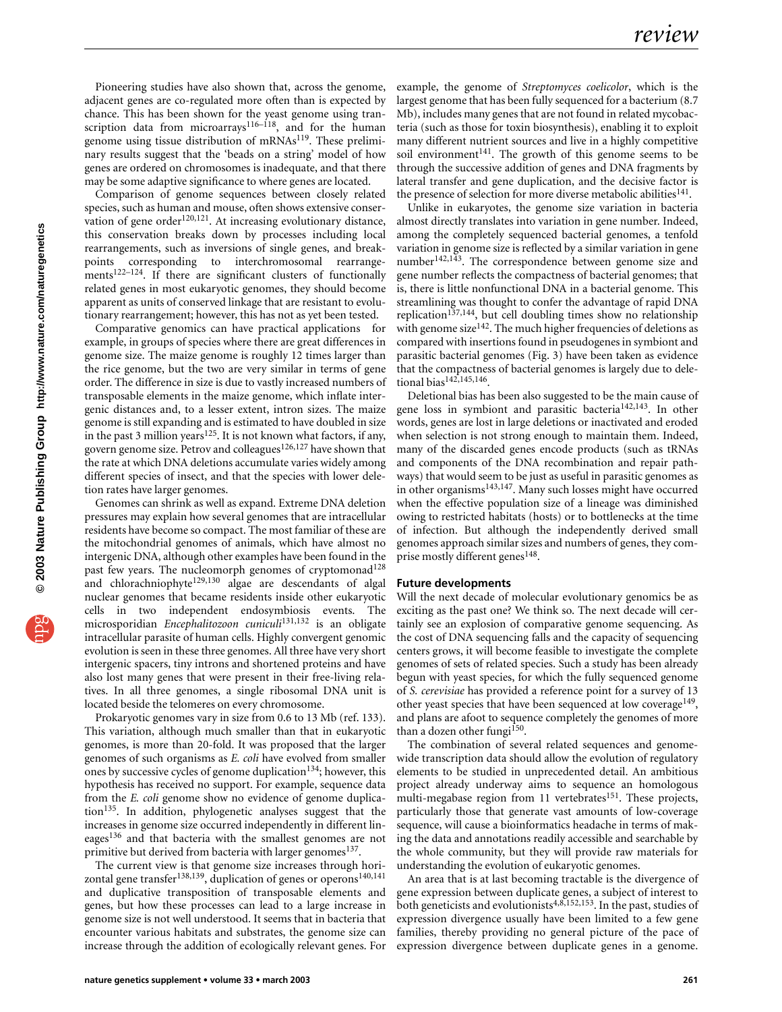Pioneering studies have also shown that, across the genome, adjacent genes are co-regulated more often than is expected by chance. This has been shown for the yeast genome using transcription data from microarrays<sup>116–118</sup>, and for the human genome using tissue distribution of mRNAs<sup>119</sup>. These preliminary results suggest that the 'beads on a string' model of how genes are ordered on chromosomes is inadequate, and that there may be some adaptive significance to where genes are located.

Comparison of genome sequences between closely related species, such as human and mouse, often shows extensive conservation of gene order<sup>120,121</sup>. At increasing evolutionary distance, this conservation breaks down by processes including local rearrangements, such as inversions of single genes, and breakpoints corresponding to interchromosomal rearrangements<sup>122-124</sup>. If there are significant clusters of functionally related genes in most eukaryotic genomes, they should become apparent as units of conserved linkage that are resistant to evolutionary rearrangement; however, this has not as yet been tested.

Comparative genomics can have practical applications-for example, in groups of species where there are great differences in genome size. The maize genome is roughly 12 times larger than the rice genome, but the two are very similar in terms of gene order. The difference in size is due to vastly increased numbers of transposable elements in the maize genome, which inflate intergenic distances and, to a lesser extent, intron sizes. The maize genome is still expanding and is estimated to have doubled in size in the past 3 million years<sup>125</sup>. It is not known what factors, if any, govern genome size. Petrov and colleagues<sup>126,127</sup> have shown that the rate at which DNA deletions accumulate varies widely among different species of insect, and that the species with lower deletion rates have larger genomes.

Genomes can shrink as well as expand. Extreme DNA deletion pressures may explain how several genomes that are intracellular residents have become so compact. The most familiar of these are the mitochondrial genomes of animals, which have almost no intergenic DNA, although other examples have been found in the past few years. The nucleomorph genomes of cryptomonad<sup>128</sup> and chlorachniophyte<sup>129,130</sup> algae are descendants of algal nuclear genomes that became residents inside other eukaryotic cells in two independent endosymbiosis events. The microsporidian *Encephalitozoon cuniculi*131,132 is an obligate intracellular parasite of human cells. Highly convergent genomic evolution is seen in these three genomes. All three have very short intergenic spacers, tiny introns and shortened proteins and have also lost many genes that were present in their free-living relatives. In all three genomes, a single ribosomal DNA unit is located beside the telomeres on every chromosome.

Prokaryotic genomes vary in size from 0.6 to 13 Mb (ref. 133). This variation, although much smaller than that in eukaryotic genomes, is more than 20-fold. It was proposed that the larger genomes of such organisms as *E. coli* have evolved from smaller ones by successive cycles of genome duplication<sup>134</sup>; however, this hypothesis has received no support. For example, sequence data from the *E. coli* genome show no evidence of genome duplication135. In addition, phylogenetic analyses suggest that the increases in genome size occurred independently in different lineages136 and that bacteria with the smallest genomes are not primitive but derived from bacteria with larger genomes<sup>137</sup>.

The current view is that genome size increases through horizontal gene transfer<sup>138,139</sup>, duplication of genes or operons<sup>140,141</sup> and duplicative transposition of transposable elements and genes, but how these processes can lead to a large increase in genome size is not well understood. It seems that in bacteria that encounter various habitats and substrates, the genome size can increase through the addition of ecologically relevant genes. For example, the genome of *Streptomyces coelicolor*, which is the largest genome that has been fully sequenced for a bacterium (8.7 Mb), includes many genes that are not found in related mycobacteria (such as those for toxin biosynthesis), enabling it to exploit many different nutrient sources and live in a highly competitive soil environment $141$ . The growth of this genome seems to be through the successive addition of genes and DNA fragments by lateral transfer and gene duplication, and the decisive factor is the presence of selection for more diverse metabolic abilities<sup>141</sup>.

Unlike in eukaryotes, the genome size variation in bacteria almost directly translates into variation in gene number. Indeed, among the completely sequenced bacterial genomes, a tenfold variation in genome size is reflected by a similar variation in gene number $142,143$ . The correspondence between genome size and gene number reflects the compactness of bacterial genomes; that is, there is little nonfunctional DNA in a bacterial genome. This streamlining was thought to confer the advantage of rapid DNA replication<sup>137,144</sup>, but cell doubling times show no relationship with genome size<sup>142</sup>. The much higher frequencies of deletions as compared with insertions found in pseudogenes in symbiont and parasitic bacterial genomes (Fig. 3) have been taken as evidence that the compactness of bacterial genomes is largely due to deletional bias142,145,146.

Deletional bias has been also suggested to be the main cause of gene loss in symbiont and parasitic bacteria142,143. In other words, genes are lost in large deletions or inactivated and eroded when selection is not strong enough to maintain them. Indeed, many of the discarded genes encode products (such as tRNAs and components of the DNA recombination and repair pathways) that would seem to be just as useful in parasitic genomes as in other organisms $143,147$ . Many such losses might have occurred when the effective population size of a lineage was diminished owing to restricted habitats (hosts) or to bottlenecks at the time of infection. But although the independently derived small genomes approach similar sizes and numbers of genes, they comprise mostly different genes<sup>148</sup>.

### **Future developments**

Will the next decade of molecular evolutionary genomics be as exciting as the past one? We think so. The next decade will certainly see an explosion of comparative genome sequencing. As the cost of DNA sequencing falls and the capacity of sequencing centers grows, it will become feasible to investigate the complete genomes of sets of related species. Such a study has been already begun with yeast species, for which the fully sequenced genome of *S. cerevisiae* has provided a reference point for a survey of 13 other yeast species that have been sequenced at low coverage  $149$ , and plans are afoot to sequence completely the genomes of more than a dozen other fungi $150$ .

The combination of several related sequences and genomewide transcription data should allow the evolution of regulatory elements to be studied in unprecedented detail. An ambitious project already underway aims to sequence an homologous multi-megabase region from 11 vertebrates<sup>151</sup>. These projects, particularly those that generate vast amounts of low-coverage sequence, will cause a bioinformatics headache in terms of making the data and annotations readily accessible and searchable by the whole community, but they will provide raw materials for understanding the evolution of eukaryotic genomes.

An area that is at last becoming tractable is the divergence of gene expression between duplicate genes, a subject of interest to both geneticists and evolutionists $4,8,152,153$ . In the past, studies of expression divergence usually have been limited to a few gene families, thereby providing no general picture of the pace of expression divergence between duplicate genes in a genome.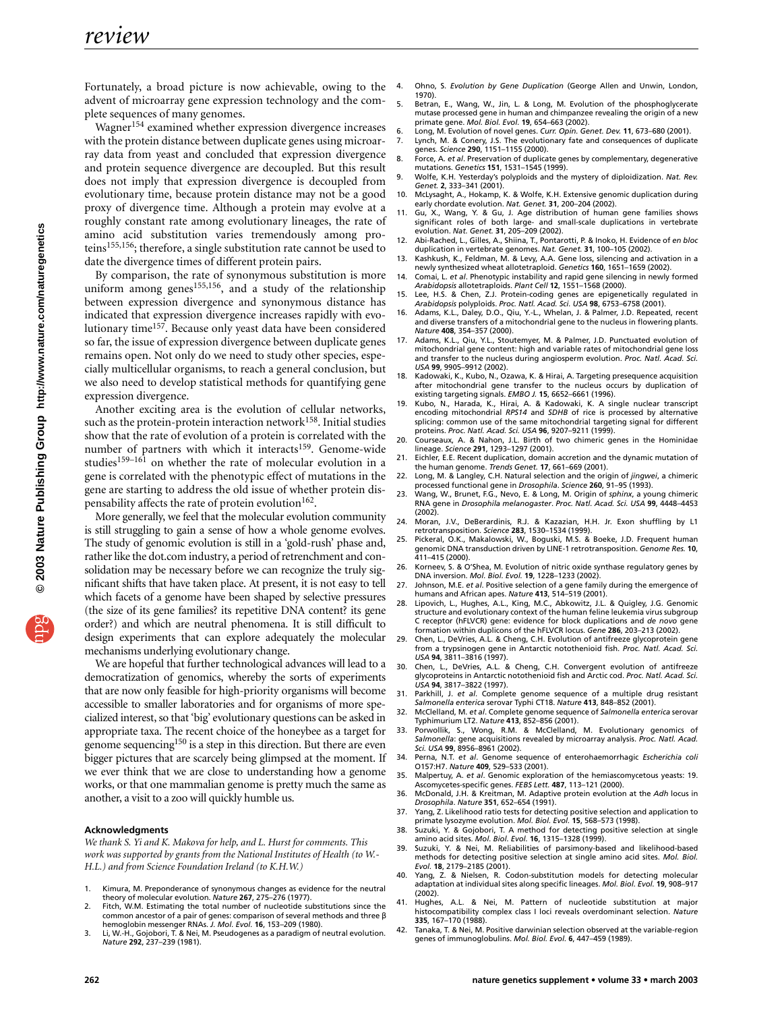Fortunately, a broad picture is now achievable, owing to the advent of microarray gene expression technology and the complete sequences of many genomes.

Wagner<sup>154</sup> examined whether expression divergence increases with the protein distance between duplicate genes using microarray data from yeast and concluded that expression divergence and protein sequence divergence are decoupled. But this result does not imply that expression divergence is decoupled from evolutionary time, because protein distance may not be a good proxy of divergence time. Although a protein may evolve at a roughly constant rate among evolutionary lineages, the rate of amino acid substitution varies tremendously among proteins155,156; therefore, a single substitution rate cannot be used to date the divergence times of different protein pairs.

By comparison, the rate of synonymous substitution is more uniform among genes<sup>155,156</sup>, and a study of the relationship between expression divergence and synonymous distance has indicated that expression divergence increases rapidly with evolutionary time157. Because only yeast data have been considered so far, the issue of expression divergence between duplicate genes remains open. Not only do we need to study other species, especially multicellular organisms, to reach a general conclusion, but we also need to develop statistical methods for quantifying gene expression divergence.

Another exciting area is the evolution of cellular networks, such as the protein-protein interaction network<sup>158</sup>. Initial studies show that the rate of evolution of a protein is correlated with the number of partners with which it interacts<sup>159</sup>. Genome-wide studies<sup>159–161</sup> on whether the rate of molecular evolution in a gene is correlated with the phenotypic effect of mutations in the gene are starting to address the old issue of whether protein dispensability affects the rate of protein evolution<sup>162</sup>.

More generally, we feel that the molecular evolution community is still struggling to gain a sense of how a whole genome evolves. The study of genomic evolution is still in a 'gold-rush' phase and, rather like the dot.com industry, a period of retrenchment and consolidation may be necessary before we can recognize the truly significant shifts that have taken place. At present, it is not easy to tell which facets of a genome have been shaped by selective pressures (the size of its gene families? its repetitive DNA content? its gene order?) and which are neutral phenomena. It is still difficult to design experiments that can explore adequately the molecular mechanisms underlying evolutionary change.

We are hopeful that further technological advances will lead to a democratization of genomics, whereby the sorts of experiments that are now only feasible for high-priority organisms will become accessible to smaller laboratories and for organisms of more specialized interest, so that 'big' evolutionary questions can be asked in appropriate taxa. The recent choice of the honeybee as a target for genome sequencing<sup>150</sup> is a step in this direction. But there are even bigger pictures that are scarcely being glimpsed at the moment. If we ever think that we are close to understanding how a genome works, or that one mammalian genome is pretty much the same as another, a visit to a zoo will quickly humble us.

#### **Acknowledgments**

*We thank S. Yi and K. Makova for help, and L. Hurst for comments. This work was supported by grants from the National Institutes of Health (to W.- H.L.) and from Science Foundation Ireland (to K.H.W.)*

- 1. Kimura, M. Preponderance of synonymous changes as evidence for the neutral theory of molecular evolution. *Nature* **267**, 275–276 (1977).
- 2. Fitch, W.M. Estimating the total number of nucleotide substitutions since the common ancestor of a pair of genes: comparison of several methods and three β hemoglobin messenger RNAs. *J. Mol. Evol.* **16**, 153–209 (1980).
- 3. Li, W.-H., Gojobori, T. & Nei, M. Pseudogenes as a paradigm of neutral evolution. *Nature* **292**, 237–239 (1981).
- 4. Ohno, S. *Evolution by Gene Duplication* (George Allen and Unwin, London, 1970).
	- Betran, E., Wang, W., Jin, L. & Long, M. Evolution of the phosphoglycerate mutase processed gene in human and chimpanzee revealing the origin of a new primate gene. *Mol. Biol. Evol.* **19**, 654–663 (2002).
- 6. Long, M. Evolution of novel genes. *Curr. Opin. Genet. Dev.* **11**, 673–680 (2001). Lynch, M. & Conery, J.S. The evolutionary fate and consequences of duplicate
- genes. *Science* **290**, 1151–1155 (2000). 8. Force, A. *et al*. Preservation of duplicate genes by complementary, degenerative mutations. *Genetics* **151**, 1531–1545 (1999).
- 9. Wolfe, K.H. Yesterday's polyploids and the mystery of diploidization. *Nat. Rev. Genet.* **2**, 333–341 (2001).
- 10. McLysaght, A., Hokamp, K. & Wolfe, K.H. Extensive genomic duplication during early chordate evolution. *Nat. Genet.* **31**, 200–204 (2002).
- Gu, X., Wang, Y. & Gu, J. Age distribution of human gene families shows significant roles of both large- and small-scale duplications in vertebrate evolution. *Nat. Genet.* **31**, 205–209 (2002).
- 12. Abi-Rached, L., Gilles, A., Shiina, T., Pontarotti, P. & Inoko, H. Evidence of *en bloc* duplication in vertebrate genomes. *Nat. Genet.* **31**, 100–105 (2002).
- 13. Kashkush, K., Feldman, M. & Levy, A.A. Gene loss, silencing and activation in a newly synthesized wheat allotetraploid. *Genetics* **160**, 1651–1659 (2002).
- 14. Comai, L. *et al*. Phenotypic instability and rapid gene silencing in newly formed
- Arabidopsis allotetraploids. Plant Cell **12,** 1551–1568 (2000).<br>15. Lee, H.S. & Chen, Z.J. Protein-coding genes are epigenetically regulated in<br>Arabidopsis polyploids. Proc. Natl. Acad. Sci. USA **98,** 6753–6758 (2001).
- 16. Adams, K.L., Daley, D.O., Qiu, Y.-L., Whelan, J. & Palmer, J.D. Repeated, recent and diverse transfers of a mitochondrial gene to the nucleus in flowering plants. *Nature* **408**, 354–357 (2000).
- 17. Adams, K.L., Qiu, Y.L., Stoutemyer, M. & Palmer, J.D. Punctuated evolution of mitochondrial gene content: high and variable rates of mitochondrial gene loss and transfer to the nucleus during angiosperm evolution. *Proc. Natl. Acad. Sci. USA* **99**, 9905–9912 (2002).
- 18. Kadowaki, K., Kubo, N., Ozawa, K. & Hirai, A. Targeting presequence acquisition after mitochondrial gene transfer to the nucleus occurs by duplication of existing targeting signals. *EMBO J.* **15**, 6652–6661 (1996).
- 19. Kubo, N., Harada, K., Hirai, A. & Kadowaki, K. A single nuclear transcript encoding mitochondrial *RPS14* and *SDHB* of rice is processed by alternative splicing: common use of the same mitochondrial targeting signal for different proteins. *Proc. Natl. Acad. Sci. USA* **96**, 9207–9211 (1999).
- 20. Courseaux, A. & Nahon, J.L. Birth of two chimeric genes in the Hominidae lineage. *Science* **291**, 1293–1297 (2001).
- 21. Eichler, E.E. Recent duplication, domain accretion and the dynamic mutation of the human genome. *Trends Genet.* **17**, 661–669 (2001).
- 22. Long, M. & Langley, C.H. Natural selection and the origin of *jingwei*, a chimeric processed functional gene in *Drosophila*. *Science* **260**, 91–95 (1993).
- 23. Wang, W., Brunet, F.G., Nevo, E. & Long, M. Origin of *sphinx*, a young chimeric RNA gene in *Drosophila melanogaster*. *Proc. Natl. Acad. Sci. USA* **99**, 4448–4453 (2002).
- 24. Moran, J.V., DeBerardinis, R.J. & Kazazian, H.H. Jr. Exon shuffling by L1 retrotransposition. *Science* **283**, 1530–1534 (1999).
- 25. Pickeral, O.K., Makalowski, W., Boguski, M.S. & Boeke, J.D. Frequent human genomic DNA transduction driven by LINE-1 retrotransposition. *Genome Res.* **10**, 411–415 (2000).
- 26. Korneev, S. & O'Shea, M. Evolution of nitric oxide synthase regulatory genes by DNA inversion. *Mol. Biol. Evol.* **19**, 1228–1233 (2002).
- 27. Johnson, M.E. *et al*. Positive selection of a gene family during the emergence of humans and African apes. *Nature* **413**, 514–519 (2001).
- 28. Lipovich, L., Hughes, A.L., King, M.C., Abkowitz, J.L. & Quigley, J.G. Genomic structure and evolutionary context of the human feline leukemia virus subgroup C receptor (hFLVCR) gene: evidence for block duplications and *de novo* gene formation within duplicons of the hFLVCR locus. *Gene* **286**, 203–213 (2002).
- 29. Chen, L., DeVries, A.L. & Cheng, C.H. Evolution of antifreeze glycoprotein gene from a trypsinogen gene in Antarctic notothenioid fish. *Proc. Natl. Acad. Sci. USA* **94**, 3811–3816 (1997).
- 30. Chen, L., DeVries, A.L. & Cheng, C.H. Convergent evolution of antifreeze glycoproteins in Antarctic notothenioid fish and Arctic cod. *Proc. Natl. Acad. Sci. USA* **94**, 3817–3822 (1997).
- 31. Parkhill, J. *et al*. Complete genome sequence of a multiple drug resistant *Salmonella enterica* serovar Typhi CT18. *Nature* **413**, 848–852 (2001). 32. McClelland, M. *et al*. Complete genome sequence of *Salmonella enterica* serovar
- Typhimurium LT2. *Nature* **413**, 852–856 (2001).
- 33. Porwollik, S., Wong, R.M. & McClelland, M. Evolutionary genomics of *Salmonella*: gene acquisitions revealed by microarray analysis. *Proc. Natl. Acad. Sci. USA* **99**, 8956–8961 (2002).
- 34. Perna, N.T. *et al*. Genome sequence of enterohaemorrhagic *Escherichia coli* O157:H7. *Nature* **409**, 529–533 (2001). 35. Malpertuy, A. *et al*. Genomic exploration of the hemiascomycetous yeasts: 19.
- Ascomycetes-specific genes. *FEBS Lett.* **487**, 113–121 (2000). 36. McDonald, J.H. & Kreitman, M. Adaptive protein evolution at the *Adh* locus in
- *Drosophila*. *Nature* **351**, 652–654 (1991).
- 37. Yang, Z. Likelihood ratio tests for detecting positive selection and application to primate lysozyme evolution. *Mol. Biol. Evol.* **15**, 568–573 (1998). 38. Suzuki, Y. & Gojobori, T. A method for detecting positive selection at single
- amino acid sites. *Mol. Biol. Evol.* **16**, 1315–1328 (1999). 39. Suzuki, Y. & Nei, M. Reliabilities of parsimony-based and likelihood-based methods for detecting positive selection at single amino acid sites. *Mol. Biol.*
- *Evol.* **18**, 2179–2185 (2001). 40. Yang, Z. & Nielsen, R. Codon-substitution models for detecting molecular adaptation at individual sites along specific lineages. *Mol. Biol. Evol.* **19**, 908–917 (2002).
- 41. Hughes, A.L. & Nei, M. Pattern of nucleotide substitution at major histocompatibility complex class I loci reveals overdominant selection. *Nature* **335**, 167–170 (1988).
- 42. Tanaka, T. & Nei, M. Positive darwinian selection observed at the variable-region genes of immunoglobulins. *Mol. Biol. Evol.* **6**, 447–459 (1989).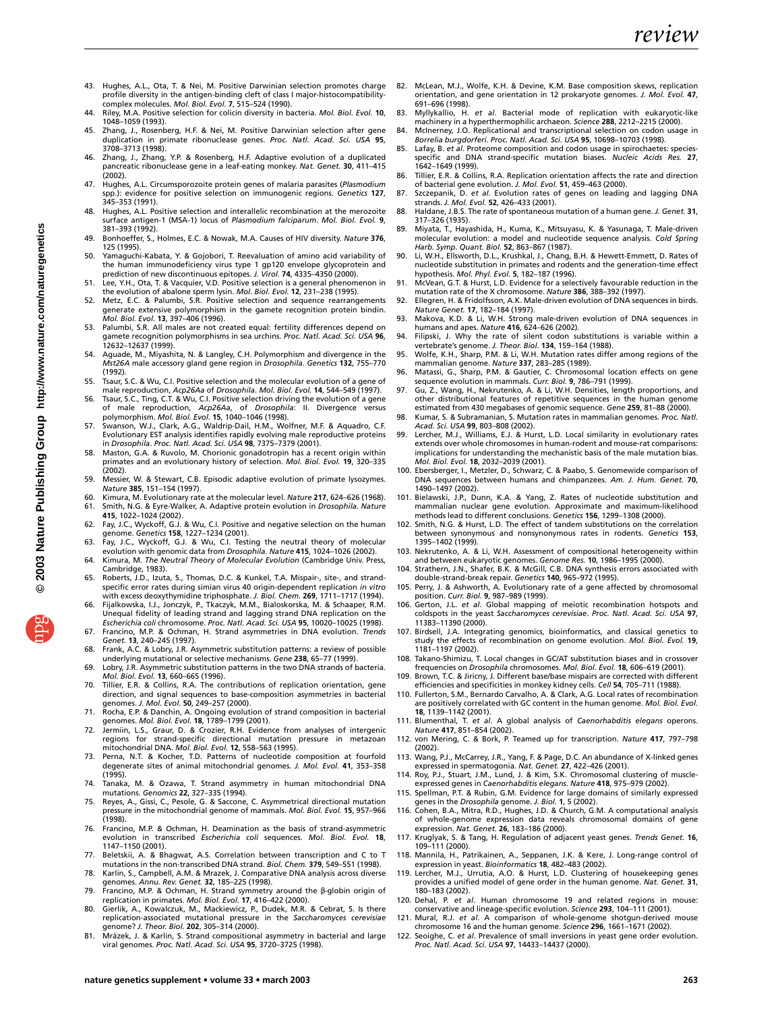- 43. Hughes, A.L., Ota, T. & Nei, M. Positive Darwinian selection promotes charge profile diversity in the antigen-binding cleft of class I major-histocompatibility-complex molecules. *Mol. Biol. Evol.* **7**, 515–524 (1990).
- 44. Riley, M.A. Positive selection for colicin diversity in bacteria. *Mol. Biol. Evol.* **10**, 1048–1059 (1993).
- 45. Zhang, J., Rosenberg, H.F. & Nei, M. Positive Darwinian selection after gene duplication in primate ribonuclease genes. *Proc. Natl. Acad. Sci. USA* **95**, 3708–3713 (1998).
- 46. Zhang, J., Zhang, Y.P. & Rosenberg, H.F. Adaptive evolution of a duplicated pancreatic ribonuclease gene in a leaf-eating monkey. *Nat. Genet.* **30**, 411–415 (2002).
- 47. Hughes, A.L. Circumsporozoite protein genes of malaria parasites (*Plasmodium* spp.): evidence for positive selection on immunogenic regions. *Genetics* **127**, 345–353 (1991).
- 48. Hughes, A.L. Positive selection and interallelic recombination at the merozoite surface antigen-1 (MSA-1) locus of *Plasmodium falciparum*. *Mol. Biol. Evol.* **9**, 381–393 (1992).
- 49. Bonhoeffer, S., Holmes, E.C. & Nowak, M.A. Causes of HIV diversity. *Nature* **376**, 125 (1995).
- 50. Yamaguchi-Kabata, Y. & Gojobori, T. Reevaluation of amino acid variability of the human immunodeficiency virus type 1 gp120 envelope glycoprotein and prediction of new discontinuous epitopes. *J. Virol.* **74**, 4335–4350 (2000).
- Lee, Y.H., Ota, T. & Vacquier, V.D. Positive selection is a general phenomenon the evolution of abalone sperm lysin. *Mol. Biol. Evol.* **12**, 231–238 (1995).
- 52. Metz, E.C. & Palumbi, S.R. Positive selection and sequence rearrangements generate extensive polymorphism in the gamete recognition protein bindin. *Mol. Biol. Evol.* **13**, 397–406 (1996).
- 53. Palumbi, S.R. All males are not created equal: fertility differences depend on gamete recognition polymorphisms in sea urchins. *Proc. Natl. Acad. Sci. USA* **96**, 12632–12637 (1999).
- 54. Aguade, M., Miyashita, N. & Langley, C.H. Polymorphism and divergence in the *Mst26A* male accessory gland gene region in *Drosophila*. *Genetics* **132**, 755–770 (1992).
- 55. Tsaur, S.C. & Wu, C.I. Positive selection and the molecular evolution of a gene of male reproduction, *Acp26Aa* of *Drosophila*. *Mol. Biol. Evol.* **14**, 544–549 (1997).
- 56. Tsaur, S.C., Ting, C.T. & Wu, C.I. Positive selection driving the evolution of a gene of male reproduction, *Acp26Aa*, of *Drosophila*: II. Divergence versus polymorphism. *Mol. Biol. Evol.* **15**, 1040–1046 (1998).
- 57. Swanson, W.J., Clark, A.G., Waldrip-Dail, H.M., Wolfner, M.F. & Aquadro, C.F. Evolutionary EST analysis identifies rapidly evolving male reproductive proteins in *Drosophila*. *Proc. Natl. Acad. Sci. USA* **98**, 7375–7379 (2001).
- 58. Maston, G.A. & Ruvolo, M. Chorionic gonadotropin has a recent origin within primates and an evolutionary history of selection. *Mol. Biol. Evol.* **19**, 320–335  $(2002)$
- 59. Messier, W. & Stewart, C.B. Episodic adaptive evolution of primate lysozymes. *Nature* **385**, 151–154 (1997).
- 60. Kimura, M. Evolutionary rate at the molecular level. *Nature* **217**, 624–626 (1968). 61. Smith, N.G. & Eyre-Walker, A. Adaptive protein evolution in *Drosophila*. *Nature*
- **415**, 1022–1024 (2002). 62. Fay, J.C., Wyckoff, G.J. & Wu, C.I. Positive and negative selection on the human genome. *Genetics* **158**, 1227–1234 (2001).
- 63. Fay, J.C., Wyckoff, G.J. & Wu, C.I. Testing the neutral theory of molecular evolution with genomic data from *Drosophila*. *Nature* **415**, 1024–1026 (2002).
- 64. Kimura, M. *The Neutral Theory of Molecular Evolution* (Cambridge Univ. Press, Cambridge, 1983).
- 65. Roberts, J.D., Izuta, S., Thomas, D.C. & Kunkel, T.A. Mispair-, site-, and strandspecific error rates during simian virus 40 origin-dependent replication *in vitro* with excess deoxythymidine triphosphate. *J. Biol. Chem.* **269**, 1711–1717 (1994). 66. Fijalkowska, I.J., Jonczyk, P., Tkaczyk, M.M., Bialoskorska, M. & Schaaper, R.M.
- Unequal fidelity of leading strand and lagging strand DNA replication on the *Escherichia coli* chromosome. *Proc. Natl. Acad. Sci. USA* **95**, 10020–10025 (1998). 67. Francino, M.P. & Ochman, H. Strand asymmetries in DNA evolution. *Trends*
- *Genet.* **13**, 240–245 (1997).
- 68. Frank, A.C. & Lobry, J.R. Asymmetric substitution patterns: a review of possible underlying mutational or selective mechanisms. *Gene* **238**, 65–77 (1999). 69. Lobry, J.R. Asymmetric substitution patterns in the two DNA strands of bacteria.
- *Mol. Biol. Evol.* **13**, 660–665 (1996). 70. Tillier, E.R. & Collins, R.A. The contributions of replication orientation, gene
- direction, and signal sequences to base-composition asymmetries in bacterial genomes. *J. Mol. Evol.* **50**, 249–257 (2000). 71. Rocha, E.P. & Danchin, A. Ongoing evolution of strand composition in bacterial
- genomes. *Mol. Biol. Evol.* **18**, 1789–1799 (2001).
- 72. Jermiin, L.S., Graur, D. & Crozier, R.H. Evidence from analyses of intergenic regions for strand-specific directional mutation pressure in metazoan mitochondrial DNA. *Mol. Biol. Evol.* **12**, 558–563 (1995). 73. Perna, N.T. & Kocher, T.D. Patterns of nucleotide composition at fourfold
- degenerate sites of animal mitochondrial genomes. *J. Mol. Evol.* **41**, 353–358  $(1995)$ .
- 74. Tanaka, M. & Ozawa, T. Strand asymmetry in human mitochondrial DNA mutations. *Genomics* **22**, 327–335 (1994).
- 75. Reyes, A., Gissi, C., Pesole, G. & Saccone, C. Asymmetrical directional mutation pressure in the mitochondrial genome of mammals. *Mol. Biol. Evol.* **15**, 957–966 (1998).
- 76. Francino, M.P. & Ochman, H. Deamination as the basis of strand-asymmetric evolution in transcribed *Escherichia coli* sequences. *Mol. Biol. Evol.* **18**, 1147–1150 (2001).
- 77. Beletskii, A. & Bhagwat, A.S. Correlation between transcription and C to T mutations in the non-transcribed DNA strand. *Biol. Chem.* **379**, 549–551 (1998).
- 78. Karlin, S., Campbell, A.M. & Mrazek, J. Comparative DNA analysis across diverse genomes. *Annu. Rev. Genet.* **32**, 185–225 (1998).
- 79. Francino, M.P. & Ochman, H. Strand symmetry around the β-globin origin of replication in primates. *Mol. Biol. Evol.* **17**, 416–422 (2000).
- 80. Gierlik, A., Kowalczuk, M., Mackiewicz, P., Dudek, M.R. & Cebrat, S. Is there replication-associated mutational pressure in the *Saccharomyces cerevisiae* genome? *J. Theor. Biol.* **202**, 305–314 (2000). 81. Mrázek, J. & Karlin, S. Strand compositional asymmetry in bacterial and large
- viral genomes. *Proc. Natl. Acad. Sci. USA* **95**, 3720–3725 (1998).
- 82. McLean, M.J., Wolfe, K.H. & Devine, K.M. Base composition skews, replication orientation, and gene orientation in 12 prokaryote genomes. *J. Mol. Evol.* **47**, 691–696 (1998).
- 83. Myllykallio, H. *et al*. Bacterial mode of replication with eukaryotic-like machinery in a hyperthermophilic archaeon. *Science* **288**, 2212–2215 (2000).
- 84. McInerney, J.O. Replicational and transcriptional selection on codon usage in *Borrelia burgdorferi*. *Proc. Natl. Acad. Sci. USA* **95**, 10698–10703 (1998).
- 85. Lafay, B. *et al*. Proteome composition and codon usage in spirochaetes: speciesspecific and DNA strand-specific mutation biases. *Nucleic Acids Res.* **27**, 1642–1649 (1999).
- 86. Tillier, E.R. & Collins, R.A. Replication orientation affects the rate and direction of bacterial gene evolution. *J. Mol. Evol.* **51**, 459–463 (2000).
- 87. Szczepanik, D. *et al*. Evolution rates of genes on leading and lagging DNA strands. *J. Mol. Evol.* **52**, 426–433 (2001).
- 88. Haldane, J.B.S. The rate of spontaneous mutation of a human gene. *J. Genet.* **31**, 317–326 (1935).
- 89. Miyata, T., Hayashida, H., Kuma, K., Mitsuyasu, K. & Yasunaga, T. Male-driven molecular evolution: a model and nucleotide sequence analysis. *Cold Spring Harb. Symp. Quant. Biol.* **52**, 863–867 (1987).
- 90. Li, W.H., Ellsworth, D.L., Krushkal, J., Chang, B.H. & Hewett-Emmett, D. Rates of nucleotide substitution in primates and rodents and the generation-time effect hypothesis. *Mol. Phyl. Evol.* **5**, 182–187 (1996).
- 91. McVean, G.T. & Hurst, L.D. Evidence for a selectively favourable reduction in the mutation rate of the X chromosome. *Nature* **386**, 388–392 (1997).
- 92. Ellegren, H. & Fridolfsson, A.K. Male-driven evolution of DNA sequences in birds. *Nature Genet.* **17**, 182–184 (1997).
- 93. Makova, K.D. & Li, W.H. Strong male-driven evolution of DNA sequences in humans and apes. *Nature* **416**, 624–626 (2002).
- 94. Filipski, J. Why the rate of silent codon substitutions is variable within a vertebrate's genome. *J. Theor. Biol.* **134**, 159–164 (1988).
- 95. Wolfe, K.H., Sharp, P.M. & Li, W.H. Mutation rates differ among regions of the mammalian genome. *Nature* **337**, 283–285 (1989). 96. Matassi, G., Sharp, P.M. & Gautier, C. Chromosomal location effects on gene
- sequence evolution in mammals. *Curr. Biol.* **9**, 786–791 (1999).
- 97. Gu, Z., Wang, H., Nekrutenko, A. & Li, W.H. Densities, length proportions, and other distributional features of repetitive sequences in the human genome estimated from 430 megabases of genomic sequence. *Gene* **259**, 81–88 (2000).
- 98. Kumar, S. & Subramanian, S. Mutation rates in mammalian genomes. *Proc. Natl. Acad. Sci. USA* **99**, 803–808 (2002).
- Lercher, M.J., Williams, E.J. & Hurst, L.D. Local similarity in evolutionary rates extends over whole chromosomes in human-rodent and mouse-rat comparisons: implications for understanding the mechanistic basis of the male mutation bias. *Mol. Biol. Evol.* **18**, 2032–2039 (2001).
- 100. Ebersberger, I., Metzler, D., Schwarz, C. & Paabo, S. Genomewide comparison of DNA sequences between humans and chimpanzees. *Am. J. Hum. Genet.* **70**, 1490–1497 (2002).
- 101. Bielawski, J.P., Dunn, K.A. & Yang, Z. Rates of nucleotide substitution and mammalian nuclear gene evolution. Approximate and maximum-likelihood methods lead to different conclusions. *Genetics* **156**, 1299–1308 (2000).
- 102. Smith, N.G. & Hurst, L.D. The effect of tandem substitutions on the correlation between synonymous and nonsynonymous rates in rodents. *Genetics* **153**, 1395–1402 (1999).
- 103. Nekrutenko, A. & Li, W.H. Assessment of compositional heterogeneity within and between eukaryotic genomes. *Genome Res.* **10**, 1986–1995 (2000).
- 104. Strathern, J.N., Shafer, B.K. & McGill, C.B. DNA synthesis errors associated with double-strand-break repair. *Genetics* **140**, 965–972 (1995). 105. Perry, J. & Ashworth, A. Evolutionary rate of a gene affected by chromosomal
- position. *Curr. Biol.* **9**, 987–989 (1999).
- 106. Gerton, J.L. *et al*. Global mapping of meiotic recombination hotspots and coldspots in the yeast *Saccharomyces cerevisiae*. *Proc. Natl. Acad. Sci. USA* **97**, 11383–11390 (2000).
- 107. Birdsell, J.A. Integrating genomics, bioinformatics, and classical genetics to study the effects of recombination on genome evolution. *Mol. Biol. Evol.* **19**, 1181–1197 (2002). 108. Takano-Shimizu, T. Local changes in GC/AT substitution biases and in crossover
- frequencies on *Drosophila* chromosomes. *Mol. Biol. Evol.* **18**, 606–619 (2001).
- 109. Brown, T.C. & Jiricny, J. Different base/base mispairs are corrected with different efficiencies and specificities in monkey kidney cells. *Cell* **54**, 705–711 (1988).
- 110. Fullerton, S.M., Bernardo Carvalho, A. & Clark, A.G. Local rates of recombination are positively correlated with GC content in the human genome. *Mol. Biol. Evol.* **18**, 1139–1142 (2001).
- 111. Blumenthal, T. *et al*. A global analysis of *Caenorhabditis elegans* operons. *Nature* **417**, 851–854 (2002).
- 112. von Mering, C. & Bork, P. Teamed up for transcription. *Nature* **417**, 797–798 (2002).
- 113. Wang, P.J., McCarrey, J.R., Yang, F. & Page, D.C. An abundance of X-linked genes expressed in spermatogonia. *Nat. Genet.* **27**, 422–426 (2001). 114. Roy, P.J., Stuart, J.M., Lund, J. & Kim, S.K. Chromosomal clustering of muscle-
- expressed genes in *Caenorhabditis elegans*. *Nature* **418**, 975–979 (2002). 115. Spellman, P.T. & Rubin, G.M. Evidence for large domains of similarly expressed
- genes in the *Drosophila* genome. *J. Biol.* **1**, 5 (2002). 116. Cohen, B.A., Mitra, R.D., Hughes, J.D. & Church, G.M. A computational analysis of whole-genome expression data reveals chromosomal domains of gene
- expression. *Nat. Genet.* **26**, 183–186 (2000). 117. Kruglyak, S. & Tang, H. Regulation of adjacent yeast genes. *Trends Genet.* **16**, 109–111 (2000).
- 118. Mannila, H., Patrikainen, A., Seppanen, J.K. & Kere, J. Long-range control of expression in yeast. *Bioinformatics* **18**, 482–483 (2002).
- 119. Lercher, M.J., Urrutia, A.O. & Hurst, L.D. Clustering of housekeeping gen provides a unified model of gene order in the human genome. *Nat. Genet.* **31**, 180–183 (2002).
- 120. Dehal, P. *et al*. Human chromosome 19 and related regions in mouse: conservative and lineage-specific evolution. *Science* **293**, 104–111 (2001).
- 121. Mural, R.J. *et al*. A comparison of whole-genome shotgun-derived mouse chromosome 16 and the human genome. *Science* **296**, 1661–1671 (2002).
- 122. Seoighe, C. *et al*. Prevalence of small inversions in yeast gene order evolution. *Proc. Natl. Acad. Sci. USA* **97**, 14433–14437 (2000).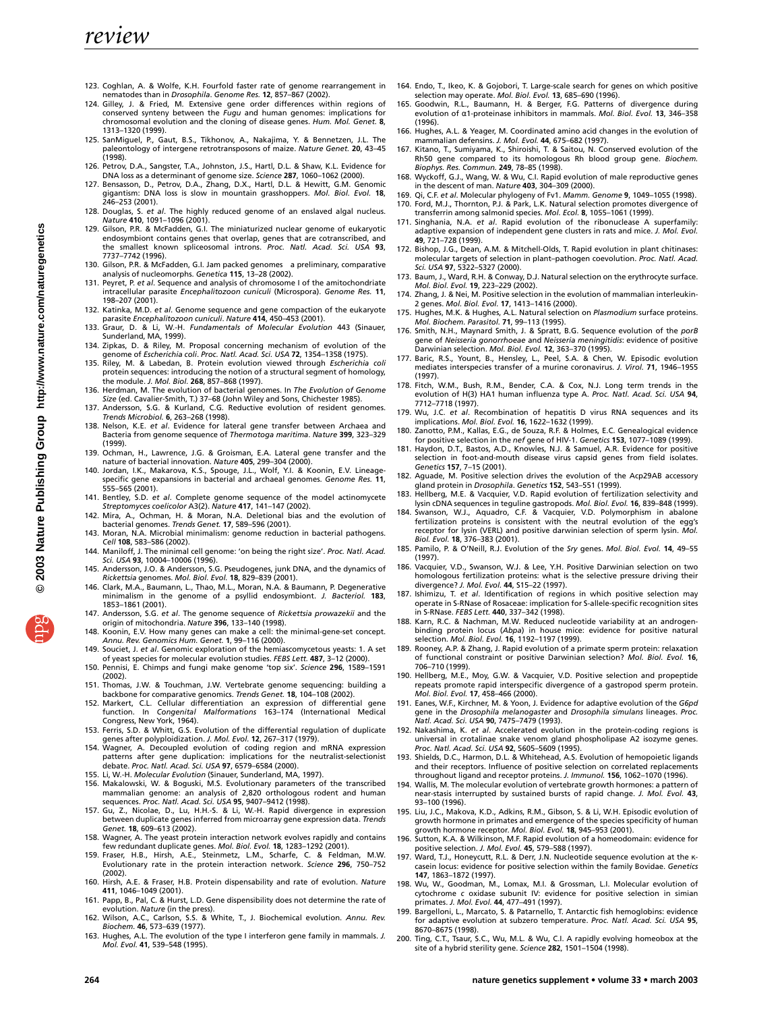- 123. Coghlan, A. & Wolfe, K.H. Fourfold faster rate of genome rearrangement in nematodes than in *Drosophila*. *Genome Res.* **12**, 857–867 (2002).
- 124. Gilley, J. & Fried, M. Extensive gene order differences within regions of conserved synteny between the *Fugu* and human genomes: implications for chromosomal evolution and the cloning of disease genes. *Hum. Mol. Genet.* **8**, 1313–1320 (1999).
- 125. SanMiguel, P., Gaut, B.S., Tikhonov, A., Nakajima, Y. & Bennetzen, J.L. The paleontology of intergene retrotransposons of maize. *Nature Genet.* **20**, 43–45 (1998).
- 126. Petrov, D.A., Sangster, T.A., Johnston, J.S., Hartl, D.L. & Shaw, K.L. Evidence for DNA loss as a determinant of genome size. *Science* **287**, 1060–1062 (2000).
- 127. Bensasson, D., Petrov, D.A., Zhang, D.X., Hartl, D.L. & Hewitt, G.M. Genomic gigantism: DNA loss is slow in mountain grasshoppers. *Mol. Biol. Evol.* **18**, 246–253 (2001).
- 128. Douglas, S. *et al*. The highly reduced genome of an enslaved algal nucleus. *Nature* **410**, 1091–1096 (2001).
- 129. Gilson, P.R. & McFadden, G.I. The miniaturized nuclear genome of eukaryotic endosymbiont contains genes that overlap, genes that are cotranscribed, and the smallest known spliceosomal introns. *Proc. Natl. Acad. Sci. USA* **93**, 7737–7742 (1996).
- 130. Gilson, P.R. & McFadden, G.I. Jam packed genomes-a preliminary, comparative analysis of nucleomorphs. *Genetica* **115**, 13–28 (2002).
- 131. Peyret, P. *et al*. Sequence and analysis of chromosome I of the amitochondriate intracellular parasite *Encephalitozoon cuniculi* (Microspora). *Genome Res.* **11**, 198–207 (2001).
- 132. Katinka, M.D. *et al*. Genome sequence and gene compaction of the eukaryote parasite *Encephalitozoon cuniculi*. *Nature* **414**, 450–453 (2001).
- 133. Graur, D. & Li, W.-H. *Fundamentals of Molecular Evolution* 443 (Sinauer, Sunderland, MA, 1999).
- 134. Zipkas, D. & Riley, M. Proposal concerning mechanism of evolution of the genome of *Escherichia coli*. *Proc. Natl. Acad. Sci. USA* **72**, 1354–1358 (1975).
- 135. Riley, M. & Labedan, B. Protein evolution viewed through *Escherichia coli* protein sequences: introducing the notion of a structural segment of homology, the module. *J. Mol. Biol.* **268**, 857–868 (1997).
- 136. Herdman, M. The evolution of bacterial genomes. In *The Evolution of Genome Size* (ed. Cavalier-Smith, T.) 37–68 (John Wiley and Sons, Chichester 1985).
- 137. Andersson, S.G. & Kurland, C.G. Reductive evolution of resident genomes. *Trends Microbiol.* **6**, 263–268 (1998). 138. Nelson, K.E. *et al*. Evidence for lateral gene transfer between Archaea and
- Bacteria from genome sequence of *Thermotoga maritima*. *Nature* **399**, 323–329 (1999).
- 139. Ochman, H., Lawrence, J.G. & Groisman, E.A. Lateral gene transfer and the
- nature of bacterial innovation. *Nature* **405**, 299–304 (2000).<br>140. Jordan, I.K., Makarova, K.S., Spouge, J.L., Wolf, Y.I. & Koonin, E.V. Lineage-<br>specific gene expansions in bacterial and archaeal genomes. G*enome Res.* 555–565 (2001).
- 141. Bentley, S.D. *et al*. Complete genome sequence of the model actinomycete *Streptomyces coelicolor* A3(2). *Nature* **417**, 141–147 (2002).
- 142. Mira, A., Ochman, H. & Moran, N.A. Deletional bias and the evolution of bacterial genomes. *Trends Genet.* **17**, 589–596 (2001). 143. Moran, N.A. Microbial minimalism: genome reduction in bacterial pathogens.
- *Cell* **108**, 583–586 (2002). 144. Maniloff, J. The minimal cell genome: 'on being the right size'. *Proc. Natl. Acad.*
- *Sci. USA* **93**, 10004–10006 (1996).
- 145. Andersson, J.O. & Andersson, S.G. Pseudogenes, junk DNA, and the dynamics of *Rickettsia* genomes. *Mol. Biol. Evol.* **18**, 829–839 (2001).
- 146. Clark, M.A., Baumann, L., Thao, M.L., Moran, N.A. & Baumann, P. Degenerative minimalism in the genome of a psyllid endosymbiont. *J. Bacteriol.* **183**, 1853–1861 (2001).
- 147. Andersson, S.G. *et al*. The genome sequence of *Rickettsia prowazekii* and the origin of mitochondria. *Nature* **396**, 133–140 (1998).
- 148. Koonin, E.V. How many genes can make a cell: the minimal-gene-set concept. *Annu. Rev. Genomics Hum. Genet.* **1**, 99–116 (2000).
- 149. Souciet, J. *et al*. Genomic exploration of the hemiascomycetous yeasts: 1. A set of yeast species for molecular evolution studies. *FEBS Lett.* **487**, 3–12 (2000). 150. Pennisi, E. Chimps and fungi make genome 'top six'. *Science* **296**, 1589–1591
- (2002). 151. Thomas, J.W. & Touchman, J.W. Vertebrate genome sequencing: building a
- backbone for comparative genomics. *Trends Genet.* **18**, 104–108 (2002).
- 152. Markert, C.L. Cellular differentiation—an expression of differential gene<br>function. In *Congenital Malformations* 163–174 (International Medical Congress, New York, 1964).
- 153. Ferris, S.D. & Whitt, G.S. Evolution of the differential regulation of duplicate genes after polyploidization. *J. Mol. Evol.* **12**, 267–317 (1979).
- 154. Wagner, A. Decoupled evolution of coding region and mRNA expression patterns after gene duplication: implications for the neutralist-selectionist debate. *Proc. Natl. Acad. Sci. USA* **97**, 6579–6584 (2000).
- 155. Li, W.-H. *Molecular Evolution* (Sinauer, Sunderland, MA, 1997).
- 156. Makalowski, W. & Boguski, M.S. Evolutionary parameters of the transcribed mammalian genome: an analysis of 2,820 orthologous rodent and human sequences. *Proc. Natl. Acad. Sci. USA* **95**, 9407–9412 (1998).
- 157. Gu, Z., Nicolae, D., Lu, H.H.-S. & Li, W.-H. Rapid divergence in expression between duplicate genes inferred from microarray gene expression data. *Trends Genet.* **18**, 609–613 (2002).
- 158. Wagner, A. The yeast protein interaction network evolves rapidly and contains few redundant duplicate genes. *Mol. Biol. Evol.* **18**, 1283–1292 (2001).
- 159. Fraser, H.B., Hirsh, A.E., Steinmetz, L.M., Scharfe, C. & Feldman, M.W. Evolutionary rate in the protein interaction network. *Science* **296**, 750–752 (2002).
- 160. Hirsh, A.E. & Fraser, H.B. Protein dispensability and rate of evolution. *Nature* **411**, 1046–1049 (2001).
- 161. Papp, B., Pal, C. & Hurst, L.D. Gene dispensibility does not determine the rate of evolution. *Nature* (in the press).
- 162. Wilson, A.C., Carlson, S.S. & White, T., J. Biochemical evolution. *Annu. Rev. Biochem.* **46**, 573–639 (1977). 163. Hughes, A.L. The evolution of the type I interferon gene family in mammals. *J.*
- *Mol. Evol.* **41**, 539–548 (1995).
- 164. Endo, T., Ikeo, K. & Gojobori, T. Large-scale search for genes on which positive selection may operate. *Mol. Biol. Evol.* **13**, 685–690 (1996).
- 165. Goodwin, R.L., Baumann, H. & Berger, F.G. Patterns of divergence during evolution of α1-proteinase inhibitors in mammals. *Mol. Biol. Evol.* **13**, 346–358 (1996).
- 166. Hughes, A.L. & Yeager, M. Coordinated amino acid changes in the evolution of mammalian defensins. *J. Mol. Evol.* **44**, 675–682 (1997).
- 167. Kitano, T., Sumiyama, K., Shiroishi, T. & Saitou, N. Conserved evolution of the Rh50 gene compared to its homologous Rh blood group gene. *Biochem.*
- *Biophys. Res. Commun.* **249**, 78–85 (1998). 168. Wyckoff, G.J., Wang, W. & Wu, C.I. Rapid evolution of male reproductive genes in the descent of man. *Nature* **403**, 304–309 (2000).
- 169. Qi, C.F. *et al*. Molecular phylogeny of Fv1. *Mamm. Genome* **9**, 1049–1055 (1998). 170. Ford, M.J., Thornton, P.J. & Park, L.K. Natural selection promotes divergence of transferrin among salmonid species. *Mol. Ecol.* **8**, 1055–1061 (1999).
- 171. Singhania, N.A. *et al*. Rapid evolution of the ribonuclease A superfamily: adaptive expansion of independent gene clusters in rats and mice. *J. Mol. Evol.* **49**, 721–728 (1999).
- 172. Bishop, J.G., Dean, A.M. & Mitchell-Olds, T. Rapid evolution in plant chitinases: molecular targets of selection in plant–pathogen coevolution. *Proc. Natl. Acad. Sci. USA* **97**, 5322–5327 (2000).
- 173. Baum, J., Ward, R.H. & Conway, D.J. Natural selection on the erythrocyte surface. *Mol. Biol. Evol.* **19**, 223–229 (2002). 174. Zhang, J. & Nei, M. Positive selection in the evolution of mammalian interleukin-
- 2 genes. *Mol. Biol. Evol.* **17**, 1413–1416 (2000).
- 175. Hughes, M.K. & Hughes, A.L. Natural selection on *Plasmodium* surface proteins. *Mol. Biochem. Parasitol.* **71**, 99–113 (1995). 176. Smith, N.H., Maynard Smith, J. & Spratt, B.G. Sequence evolution of the *porB*
- gene of *Neisseria gonorrhoeae* and *Neisseria meningitidis*: evidence of positive Darwinian selection. *Mol. Biol. Evol.* **12**, 363–370 (1995).
- 177. Baric, R.S., Yount, B., Hensley, L., Peel, S.A. & Chen, W. Episodic evolution mediates interspecies transfer of a murine coronavirus. *J. Virol.* **71**, 1946–1955 (1997). 178. Fitch, W.M., Bush, R.M., Bender, C.A. & Cox, N.J. Long term trends in the
- evolution of H(3) HA1 human influenza type A. *Proc. Natl. Acad. Sci. USA* **94**, 7712–7718 (1997).
- 179. Wu, J.C. *et al*. Recombination of hepatitis D virus RNA sequences and its implications. *Mol. Biol. Evol.* **16**, 1622–1632 (1999).
- 180. Zanotto, P.M., Kallas, E.G., de Souza, R.F. & Holmes, E.C. Genealogical evidence for positive selection in the *nef* gene of HIV-1. *Genetics* **153**, 1077–1089 (1999). 181. Haydon, D.T., Bastos, A.D., Knowles, N.J. & Samuel, A.R. Evidence for positive
- selection in foot-and-mouth disease virus capsid genes from field isolates. *Genetics* **157**, 7–15 (2001).
- 182. Aguade, M. Positive selection drives the evolution of the Acp29AB accessory gland protein in *Drosophila*. *Genetics* **152**, 543–551 (1999).
- 183. Hellberg, M.E. & Vacquier, V.D. Rapid evolution of fertilization selectivity and lysin cDNA sequences in teguline gastropods. *Mol. Biol. Evol.* **16**, 839–848 (1999).
- 184. Swanson, W.J., Aquadro, C.F. & Vacquier, V.D. Polymorphism in abalone fertilization proteins is consistent with the neutral evolution of the egg's receptor for lysin (VERL) and positive darwinian selection of sperm lysin. *Mol. Biol. Evol.* **18**, 376–383 (2001).
- 185. Pamilo, P. & O'Neill, R.J. Evolution of the *Sry* genes. *Mol. Biol. Evol.* **14**, 49–55 (1997).
- 186. Vacquier, V.D., Swanson, W.J. & Lee, Y.H. Positive Darwinian selection on two homologous fertilization proteins: what is the selective pressure driving their divergence? *J. Mol. Evol.* **44**, S15–22 (1997).
- 187. Ishimizu, T. *et al*. Identification of regions in which positive selection may operate in S-RNase of Rosaceae: implication for S-allele-specific recognition sites in S-RNase. *FEBS Lett.* **440**, 337–342 (1998).
- 188. Karn, R.C. & Nachman, M.W. Reduced nucleotide variability at an androgenbinding protein locus (*Abpa*) in house mice: evidence for positive natural selection. *Mol. Biol. Evol.* **16**, 1192–1197 (1999).
- 189. Rooney, A.P. & Zhang, J. Rapid evolution of a primate sperm protein: relaxation of functional constraint or positive Darwinian selection? *Mol. Biol. Evol.* **16**, 706–710 (1999).
- 190. Hellberg, M.E., Moy, G.W. & Vacquier, V.D. Positive selection and propeptide repeats promote rapid interspecific divergence of a gastropod sperm protein. *Mol. Biol. Evol.* **17**, 458–466 (2000).
- 191. Eanes, W.F., Kirchner, M. & Yoon, J. Evidence for adaptive evolution of the *G6pd* gene in the *Drosophila melanogaster* and *Drosophila simulans* lineages. *Proc. Natl. Acad. Sci. USA* **90**, 7475–7479 (1993).
- 192. Nakashima, K. *et al*. Accelerated evolution in the protein-coding regions is universal in crotalinae snake venom gland phospholipase A2 isozyme genes. *Proc. Natl. Acad. Sci. USA* **92**, 5605–5609 (1995).
- 193. Shields, D.C., Harmon, D.L. & Whitehead, A.S. Evolution of hemopoietic ligands and their receptors. Influence of positive selection on correlated replacements throughout ligand and receptor proteins. *J. Immunol.* **156**, 1062–1070 (1996).
- 194. Wallis, M. The molecular evolution of vertebrate growth hormones: a pattern of near-stasis interrupted by sustained bursts of rapid change. *J. Mol. Evol.* **43**, 93–100 (1996).
- 195. Liu, J.C., Makova, K.D., Adkins, R.M., Gibson, S. & Li, W.H. Episodic evolution of growth hormone in primates and emergence of the species specificity of human growth hormone receptor. *Mol. Biol. Evol.* **18**, 945–953 (2001).
- 196. Sutton, K.A. & Wilkinson, M.F. Rapid evolution of a homeodomain: evidence for positive selection. *J. Mol. Evol.* **45**, 579–588 (1997).
- 197. Ward, T.J., Honeycutt, R.L. & Derr, J.N. Nucleotide sequence evolution at the κcasein locus: evidence for positive selection within the family Bovidae. *Genetics* **147**, 1863–1872 (1997).
- 198. Wu, W., Goodman, M., Lomax, M.I. & Grossman, L.I. Molecular evolution of cytochrome *c* oxidase subunit IV: evidence for positive selection in simian
- primates. *J. Mol. Evol.* **44**, 477–491 (1997). 199. Bargelloni, L., Marcato, S. & Patarnello, T. Antarctic fish hemoglobins: evidence for adaptive evolution at subzero temperature. *Proc. Natl. Acad. Sci. USA* **95**, 8670–8675 (1998).
- 200. Ting, C.T., Tsaur, S.C., Wu, M.L. & Wu, C.I. A rapidly evolving homeobox at the site of a hybrid sterility gene. *Science* **282**, 1501–1504 (1998).